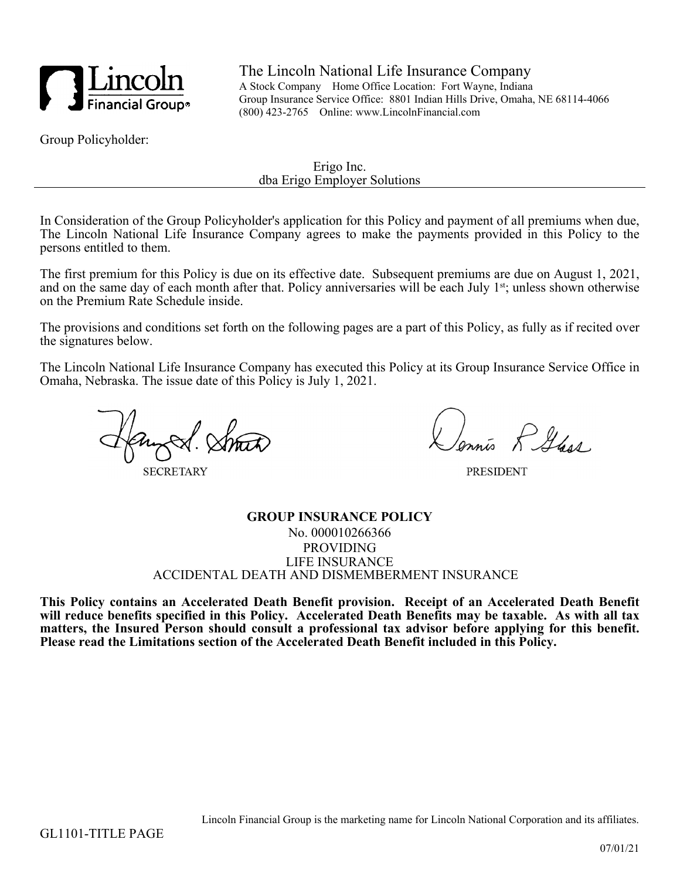

The Lincoln National Life Insurance Company A Stock Company Home Office Location: Fort Wayne, Indiana Group Insurance Service Office: 8801 Indian Hills Drive, Omaha, NE 68114-4066 (800) 423-2765 Online: www.LincolnFinancial.com

Group Policyholder:

Erigo Inc. dba Erigo Employer Solutions

In Consideration of the Group Policyholder's application for this Policy and payment of all premiums when due, The Lincoln National Life Insurance Company agrees to make the payments provided in this Policy to the persons entitled to them.

The first premium for this Policy is due on its effective date. Subsequent premiums are due on August 1, 2021, and on the same day of each month after that. Policy anniversaries will be each July 1<sup>st</sup>; unless shown otherwise on the Premium Rate Schedule inside.

The provisions and conditions set forth on the following pages are a part of this Policy, as fully as if recited over the signatures below.

The Lincoln National Life Insurance Company has executed this Policy at its Group Insurance Service Office in Omaha, Nebraska. The issue date of this Policy is July 1, 2021.

**SECRETARY** 

is R Glass

**PRESIDENT** 

### **GROUP INSURANCE POLICY** No. 000010266366 PROVIDING LIFE INSURANCE ACCIDENTAL DEATH AND DISMEMBERMENT INSURANCE

**This Policy contains an Accelerated Death Benefit provision. Receipt of an Accelerated Death Benefit will reduce benefits specified in this Policy. Accelerated Death Benefits may be taxable. As with all tax matters, the Insured Person should consult a professional tax advisor before applying for this benefit. Please read the Limitations section of the Accelerated Death Benefit included in this Policy.**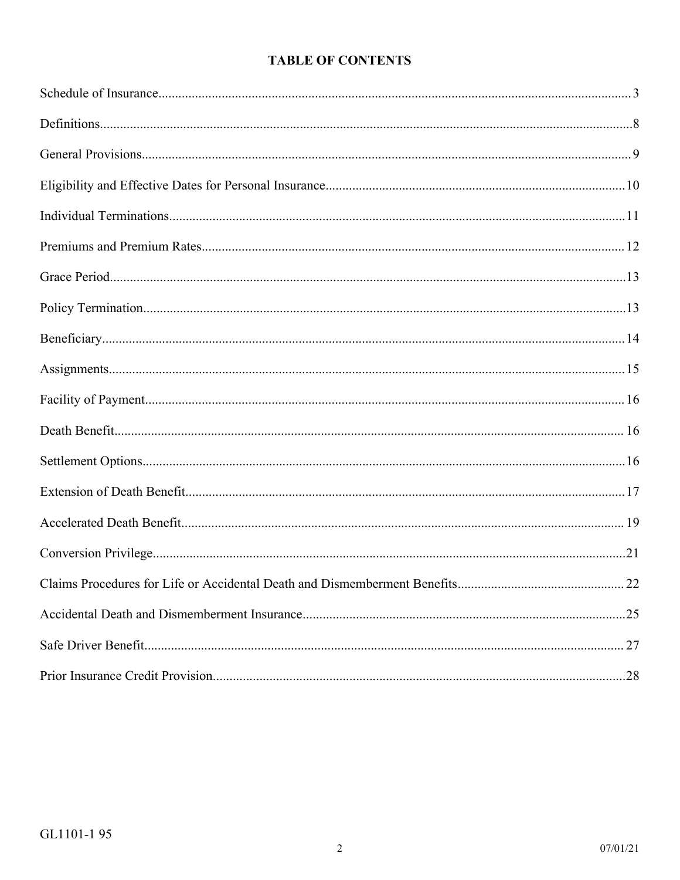# **TABLE OF CONTENTS**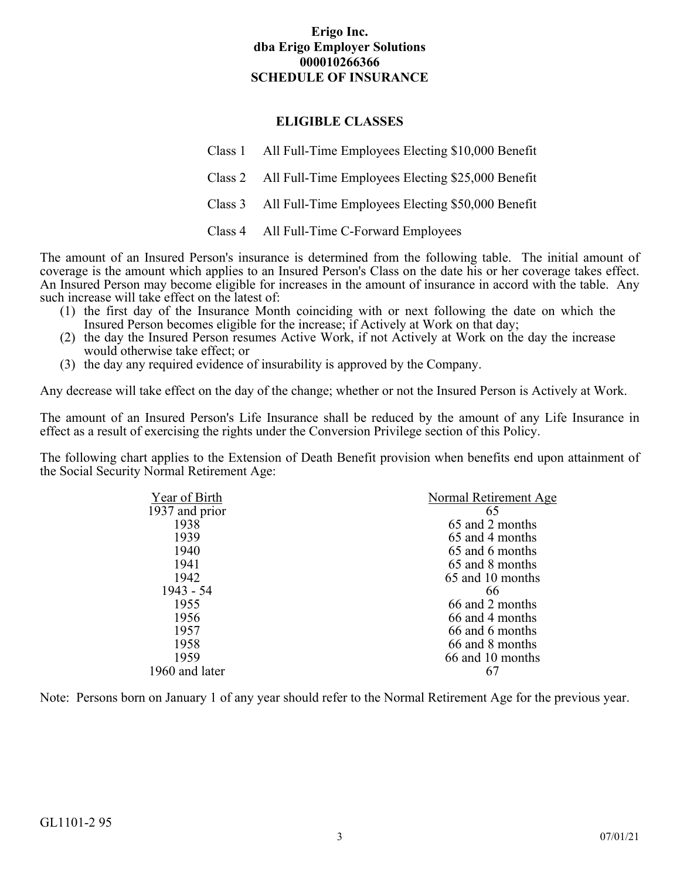## **ELIGIBLE CLASSES**

Class 1 All Full-Time Employees Electing \$10,000 Benefit

Class 2 All Full-Time Employees Electing \$25,000 Benefit

Class 3 All Full-Time Employees Electing \$50,000 Benefit

Class 4 All Full-Time C-Forward Employees

<span id="page-2-0"></span>The amount of an Insured Person's insurance is determined from the following table. The initial amount of coverage is the amount which applies to an Insured Person's Class on the date his or her coverage takes effect. An Insured Person may become eligible for increases in the amount of insurance in accord with the table. Any such increase will take effect on the latest of:

- (1) the first day of the Insurance Month coinciding with or next following the date on which the Insured Person becomes eligible for the increase; if Actively at Work on that day;
- (2) the day the Insured Person resumes Active Work, if not Actively at Work on the day the increase would otherwise take effect; or
- (3) the day any required evidence of insurability is approved by the Company.

Any decrease will take effect on the day of the change; whether or not the Insured Person is Actively at Work.

The amount of an Insured Person's Life Insurance shall be reduced by the amount of any Life Insurance in effect as a result of exercising the rights under the Conversion Privilege section of this Policy.

The following chart applies to the Extension of Death Benefit provision when benefits end upon attainment of the Social Security Normal Retirement Age:

| Year of Birth  | Normal Retirement Age |
|----------------|-----------------------|
| 1937 and prior | 65                    |
| 1938           | 65 and 2 months       |
| 1939           | 65 and 4 months       |
| 1940           | 65 and 6 months       |
| 1941           | 65 and 8 months       |
| 1942           | 65 and 10 months      |
| 1943 - 54      | 66                    |
| 1955           | 66 and 2 months       |
| 1956           | 66 and 4 months       |
| 1957           | 66 and 6 months       |
| 1958           | 66 and 8 months       |
| 1959           | 66 and 10 months      |
| 1960 and later |                       |
|                |                       |

Note: Persons born on January 1 of any year should refer to the Normal Retirement Age for the previous year.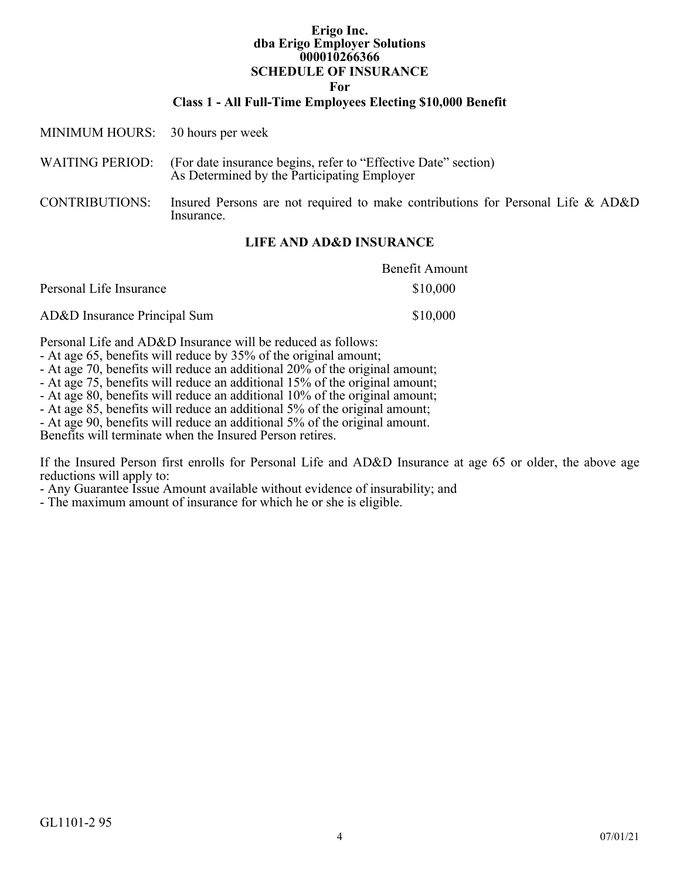**For**

#### **Class 1 - All Full-Time Employees Electing \$10,000 Benefit**

| MINIMUM HOURS: 30 hours per week |                                                                                                                               |
|----------------------------------|-------------------------------------------------------------------------------------------------------------------------------|
|                                  | WAITING PERIOD: (For date insurance begins, refer to "Effective Date" section)<br>As Determined by the Participating Employer |
| <b>CONTRIBUTIONS:</b>            | Insured Persons are not required to make contributions for Personal Life & AD&D<br>Insurance.                                 |

### **LIFE AND AD&D INSURANCE**

|                              | <b>Benefit Amount</b> |
|------------------------------|-----------------------|
| Personal Life Insurance      | \$10,000              |
| AD&D Insurance Principal Sum | \$10,000              |

Personal Life and AD&D Insurance will be reduced as follows:

- At age 65, benefits will reduce by 35% of the original amount;

- At age 70, benefits will reduce an additional 20% of the original amount;

- At age 75, benefits will reduce an additional 15% of the original amount;

- At age 80, benefits will reduce an additional 10% of the original amount;

- At age 85, benefits will reduce an additional 5% of the original amount;

- At age 90, benefits will reduce an additional 5% of the original amount.

Benefits will terminate when the Insured Person retires.

If the Insured Person first enrolls for Personal Life and AD&D Insurance at age 65 or older, the above age reductions will apply to:

- Any Guarantee Issue Amount available without evidence of insurability; and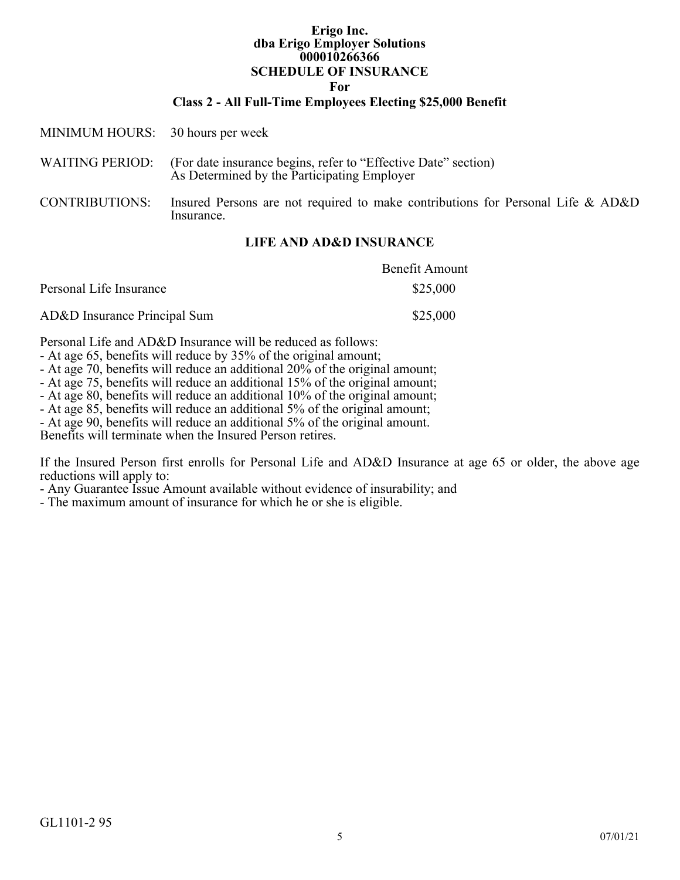**For**

#### **Class 2 - All Full-Time Employees Electing \$25,000 Benefit**

| MINIMUM HOURS: 30 hours per week |                                                                                                               |
|----------------------------------|---------------------------------------------------------------------------------------------------------------|
| <b>WAITING PERIOD:</b>           | (For date insurance begins, refer to "Effective Date" section)<br>As Determined by the Participating Employer |
| <b>CONTRIBUTIONS:</b>            | Insured Persons are not required to make contributions for Personal Life & AD&D<br>Insurance.                 |

### **LIFE AND AD&D INSURANCE**

|                              | <b>Benefit Amount</b> |
|------------------------------|-----------------------|
| Personal Life Insurance      | \$25,000              |
| AD&D Insurance Principal Sum | \$25,000              |

Personal Life and AD&D Insurance will be reduced as follows:

- At age 65, benefits will reduce by 35% of the original amount;

- At age 70, benefits will reduce an additional 20% of the original amount;

- At age 75, benefits will reduce an additional 15% of the original amount;

- At age 80, benefits will reduce an additional 10% of the original amount;

- At age 85, benefits will reduce an additional 5% of the original amount;

- At age 90, benefits will reduce an additional 5% of the original amount.

Benefits will terminate when the Insured Person retires.

If the Insured Person first enrolls for Personal Life and AD&D Insurance at age 65 or older, the above age reductions will apply to:

- Any Guarantee Issue Amount available without evidence of insurability; and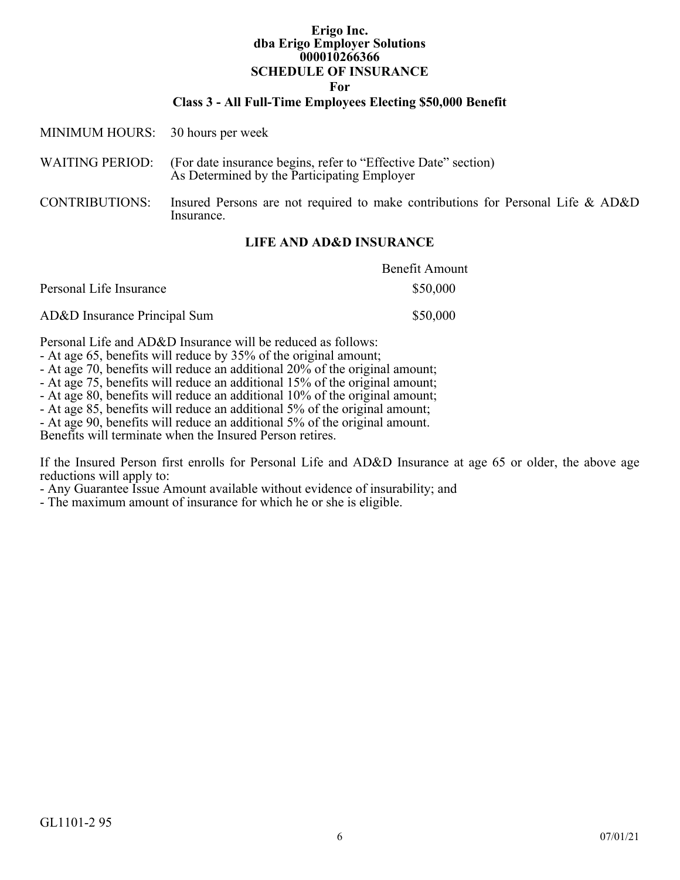**For**

#### **Class 3 - All Full-Time Employees Electing \$50,000 Benefit**

| MINIMUM HOURS: 30 hours per week |                                                                                                                               |
|----------------------------------|-------------------------------------------------------------------------------------------------------------------------------|
|                                  | WAITING PERIOD: (For date insurance begins, refer to "Effective Date" section)<br>As Determined by the Participating Employer |
| <b>CONTRIBUTIONS:</b>            | Insured Persons are not required to make contributions for Personal Life & AD&D<br>Insurance.                                 |

### **LIFE AND AD&D INSURANCE**

|                              | <b>Benefit Amount</b> |
|------------------------------|-----------------------|
| Personal Life Insurance      | \$50,000              |
| AD&D Insurance Principal Sum | \$50,000              |

Personal Life and AD&D Insurance will be reduced as follows:

- At age 65, benefits will reduce by 35% of the original amount;

- At age 70, benefits will reduce an additional 20% of the original amount;

- At age 75, benefits will reduce an additional 15% of the original amount;

- At age 80, benefits will reduce an additional 10% of the original amount;

- At age 85, benefits will reduce an additional 5% of the original amount;

- At age 90, benefits will reduce an additional 5% of the original amount.

Benefits will terminate when the Insured Person retires.

If the Insured Person first enrolls for Personal Life and AD&D Insurance at age 65 or older, the above age reductions will apply to:

- Any Guarantee Issue Amount available without evidence of insurability; and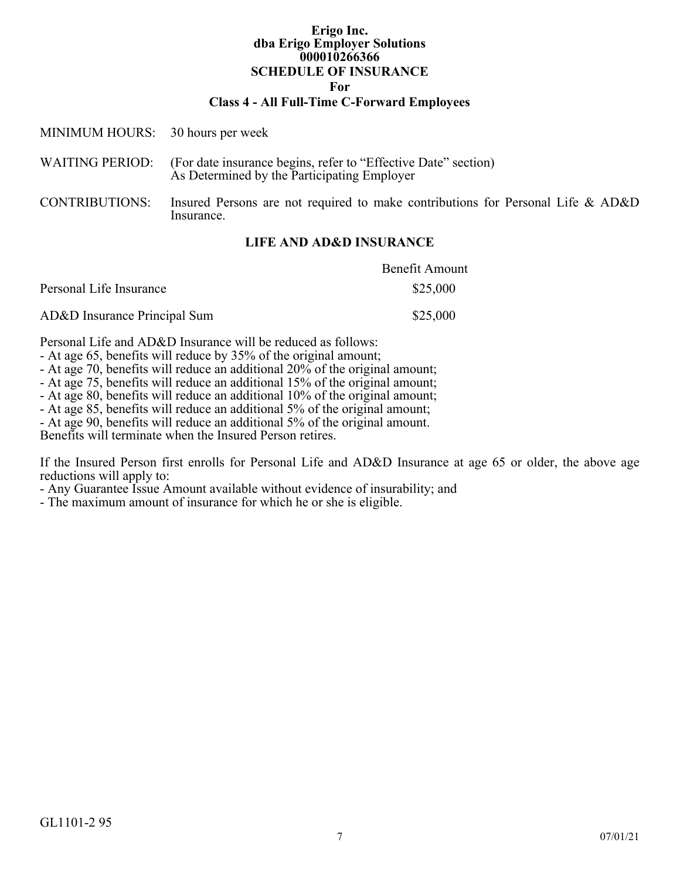### **Class 4 - All Full-Time C-Forward Employees**

| MINIMUM HOURS: 30 hours per week |                                                                                                                               |
|----------------------------------|-------------------------------------------------------------------------------------------------------------------------------|
|                                  | WAITING PERIOD: (For date insurance begins, refer to "Effective Date" section)<br>As Determined by the Participating Employer |
| <b>CONTRIBUTIONS:</b>            | Insured Persons are not required to make contributions for Personal Life & AD&D<br>Insurance.                                 |

### **LIFE AND AD&D INSURANCE**

|                              | <b>Benefit Amount</b> |
|------------------------------|-----------------------|
| Personal Life Insurance      | \$25,000              |
| AD&D Insurance Principal Sum | \$25,000              |

Personal Life and AD&D Insurance will be reduced as follows:

- At age 65, benefits will reduce by 35% of the original amount;

- At age 70, benefits will reduce an additional 20% of the original amount;

- At age 75, benefits will reduce an additional 15% of the original amount;

- At age 80, benefits will reduce an additional 10% of the original amount;

- At age 85, benefits will reduce an additional 5% of the original amount;

- At age 90, benefits will reduce an additional 5% of the original amount.

Benefits will terminate when the Insured Person retires.

If the Insured Person first enrolls for Personal Life and AD&D Insurance at age 65 or older, the above age reductions will apply to:

- Any Guarantee Issue Amount available without evidence of insurability; and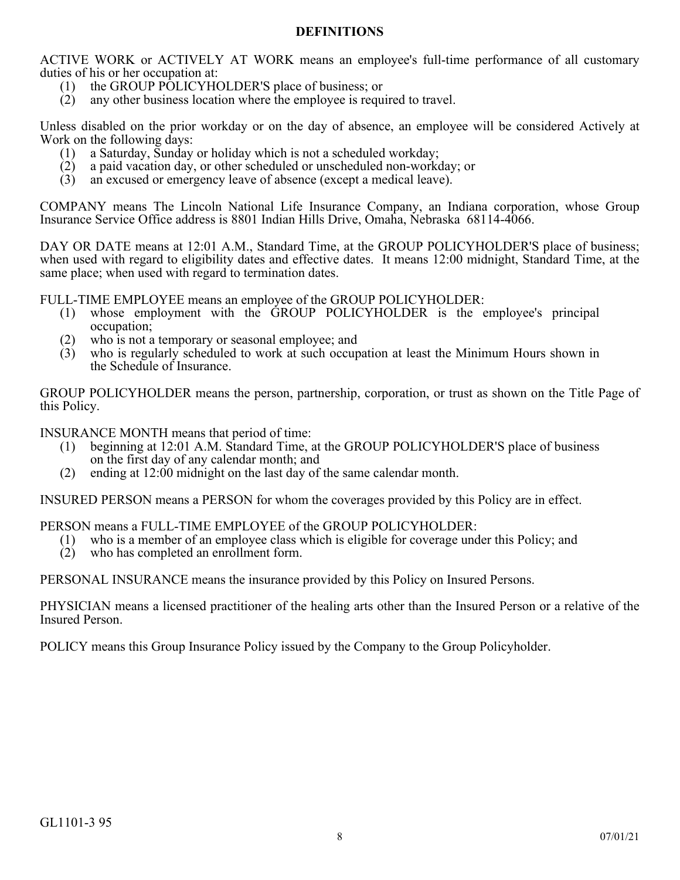# **DEFINITIONS**

<span id="page-7-0"></span>ACTIVE WORK or ACTIVELY AT WORK means an employee's full-time performance of all customary duties of his or her occupation at:

- (1) the GROUP POLICYHOLDER'S place of business; or
- (2) any other business location where the employee is required to travel.

Unless disabled on the prior workday or on the day of absence, an employee will be considered Actively at Work on the following days:

- (1) a Saturday, Sunday or holiday which is not a scheduled workday;
- (2) a paid vacation day, or other scheduled or unscheduled non-workday; or
- (3) an excused or emergency leave of absence (except a medical leave).

COMPANY means The Lincoln National Life Insurance Company, an Indiana corporation, whose Group Insurance Service Office address is 8801 Indian Hills Drive, Omaha, Nebraska 68114-4066.

DAY OR DATE means at 12:01 A.M., Standard Time, at the GROUP POLICYHOLDER'S place of business; when used with regard to eligibility dates and effective dates. It means 12:00 midnight, Standard Time, at the same place; when used with regard to termination dates.

FULL-TIME EMPLOYEE means an employee of the GROUP POLICYHOLDER:

- (1) whose employment with the GROUP POLICYHOLDER is the employee's principal occupation;
- (2) who is not a temporary or seasonal employee; and
- (3) who is regularly scheduled to work at such occupation at least the Minimum Hours shown in the Schedule of Insurance.

GROUP POLICYHOLDER means the person, partnership, corporation, or trust as shown on the Title Page of this Policy.

INSURANCE MONTH means that period of time:

- (1) beginning at 12:01 A.M. Standard Time, at the GROUP POLICYHOLDER'S place of business on the first day of any calendar month; and
- (2) ending at 12:00 midnight on the last day of the same calendar month.

INSURED PERSON means a PERSON for whom the coverages provided by this Policy are in effect.

PERSON means a FULL-TIME EMPLOYEE of the GROUP POLICYHOLDER:

- (1) who is a member of an employee class which is eligible for coverage under this Policy; and
- (2) who has completed an enrollment form.

PERSONAL INSURANCE means the insurance provided by this Policy on Insured Persons.

PHYSICIAN means a licensed practitioner of the healing arts other than the Insured Person or a relative of the Insured Person.

POLICY means this Group Insurance Policy issued by the Company to the Group Policyholder.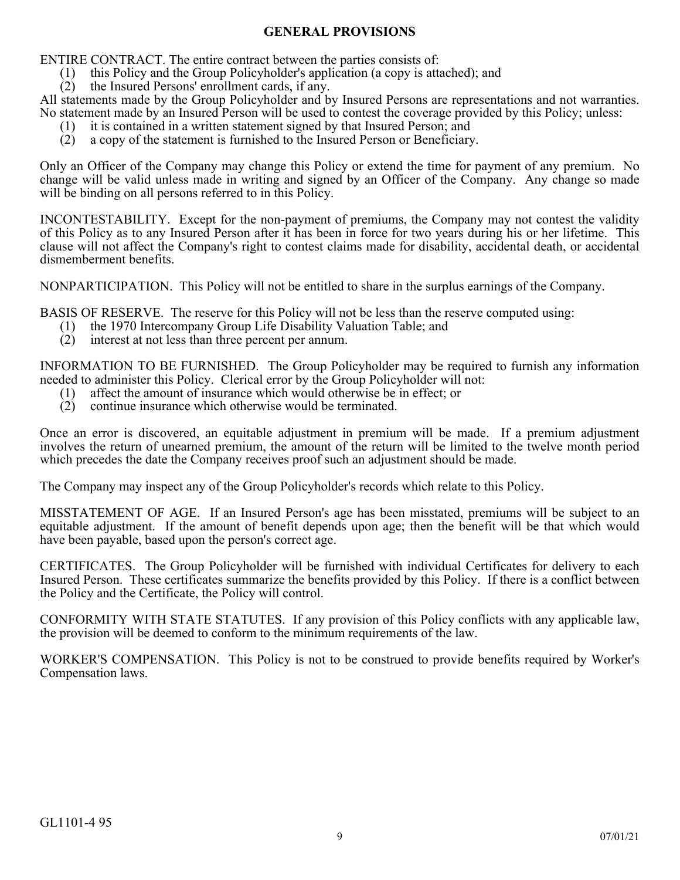# **GENERAL PROVISIONS**

<span id="page-8-0"></span>ENTIRE CONTRACT. The entire contract between the parties consists of:

- (1) this Policy and the Group Policyholder's application (a copy is attached); and
- (2) the Insured Persons' enrollment cards, if any.

All statements made by the Group Policyholder and by Insured Persons are representations and not warranties. No statement made by an Insured Person will be used to contest the coverage provided by this Policy; unless:

- (1) it is contained in a written statement signed by that Insured Person; and
- (2) a copy of the statement is furnished to the Insured Person or Beneficiary.

Only an Officer of the Company may change this Policy or extend the time for payment of any premium. No change will be valid unless made in writing and signed by an Officer of the Company. Any change so made will be binding on all persons referred to in this Policy.

INCONTESTABILITY. Except for the non-payment of premiums, the Company may not contest the validity of this Policy as to any Insured Person after it has been in force for two years during his or her lifetime. This clause will not affect the Company's right to contest claims made for disability, accidental death, or accidental dismemberment benefits.

NONPARTICIPATION. This Policy will not be entitled to share in the surplus earnings of the Company.

BASIS OF RESERVE. The reserve for this Policy will not be less than the reserve computed using:

- (1) the 1970 Intercompany Group Life Disability Valuation Table; and
- (2) interest at not less than three percent per annum.

INFORMATION TO BE FURNISHED. The Group Policyholder may be required to furnish any information needed to administer this Policy. Clerical error by the Group Policyholder will not:

- (1) affect the amount of insurance which would otherwise be in effect; or
- (2) continue insurance which otherwise would be terminated.

Once an error is discovered, an equitable adjustment in premium will be made. If a premium adjustment involves the return of unearned premium, the amount of the return will be limited to the twelve month period which precedes the date the Company receives proof such an adjustment should be made.

The Company may inspect any of the Group Policyholder's records which relate to this Policy.

MISSTATEMENT OF AGE. If an Insured Person's age has been misstated, premiums will be subject to an equitable adjustment. If the amount of benefit depends upon age; then the benefit will be that which would have been payable, based upon the person's correct age.

CERTIFICATES. The Group Policyholder will be furnished with individual Certificates for delivery to each Insured Person. These certificates summarize the benefits provided by this Policy. If there is a conflict between the Policy and the Certificate, the Policy will control.

CONFORMITY WITH STATE STATUTES. If any provision of this Policy conflicts with any applicable law, the provision will be deemed to conform to the minimum requirements of the law.

WORKER'S COMPENSATION. This Policy is not to be construed to provide benefits required by Worker's Compensation laws.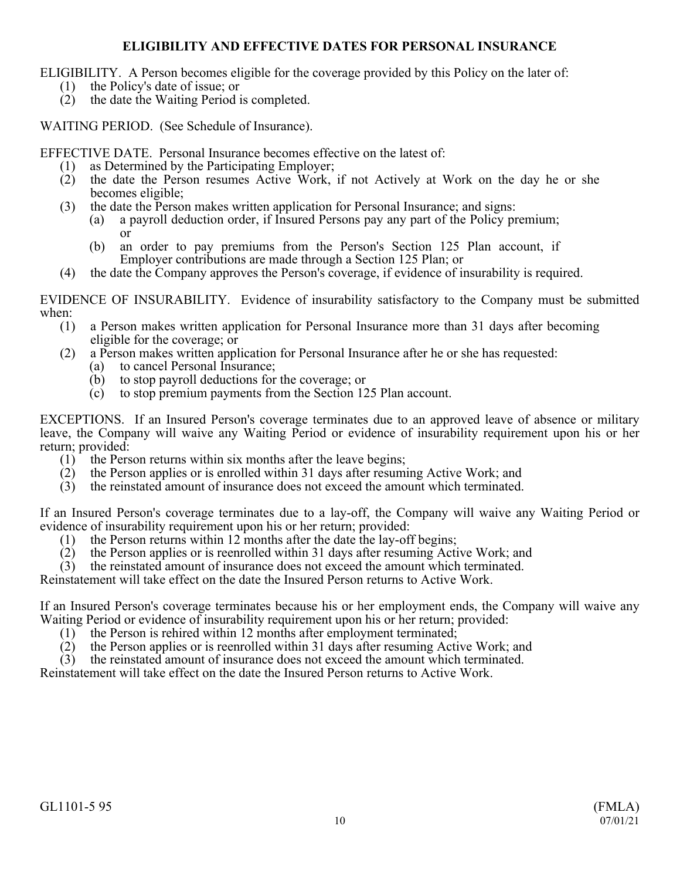# **ELIGIBILITY AND EFFECTIVE DATES FOR PERSONAL INSURANCE**

<span id="page-9-0"></span>ELIGIBILITY. A Person becomes eligible for the coverage provided by this Policy on the later of:

- (1) the Policy's date of issue; or
- (2) the date the Waiting Period is completed.

WAITING PERIOD. (See Schedule of Insurance).

EFFECTIVE DATE. Personal Insurance becomes effective on the latest of:

- (1) as Determined by the Participating Employer;<br>(2) the date the Person resumes Active Work.
- (2) the date the Person resumes Active Work, if not Actively at Work on the day he or she becomes eligible;
- (3) the date the Person makes written application for Personal Insurance; and signs:
	- (a) a payroll deduction order, if Insured Persons pay any part of the Policy premium; or
	- (b) an order to pay premiums from the Person's Section 125 Plan account, if Employer contributions are made through a Section 125 Plan; or
- (4) the date the Company approves the Person's coverage, if evidence of insurability is required.

EVIDENCE OF INSURABILITY. Evidence of insurability satisfactory to the Company must be submitted when:  $(1)$ 

- a Person makes written application for Personal Insurance more than 31 days after becoming eligible for the coverage; or
- (2) a Person makes written application for Personal Insurance after he or she has requested:
	- (a) to cancel Personal Insurance;
	- (b) to stop payroll deductions for the coverage; or
	- (c) to stop premium payments from the Section 125 Plan account.

EXCEPTIONS. If an Insured Person's coverage terminates due to an approved leave of absence or military leave, the Company will waive any Waiting Period or evidence of insurability requirement upon his or her return; provided:

- (1) the Person returns within six months after the leave begins;
- (2) the Person applies or is enrolled within 31 days after resuming Active Work; and
- (3) the reinstated amount of insurance does not exceed the amount which terminated.

If an Insured Person's coverage terminates due to a lay-off, the Company will waive any Waiting Period or evidence of insurability requirement upon his or her return; provided:

- (1) the Person returns within 12 months after the date the lay-off begins;
- (2) the Person applies or is reenrolled within 31 days after resuming Active Work; and
- (3) the reinstated amount of insurance does not exceed the amount which terminated.

Reinstatement will take effect on the date the Insured Person returns to Active Work.

If an Insured Person's coverage terminates because his or her employment ends, the Company will waive any Waiting Period or evidence of insurability requirement upon his or her return; provided:

- (1) the Person is rehired within 12 months after employment terminated;
- (2) the Person applies or is reenrolled within 31 days after resuming Active Work; and
- (3) the reinstated amount of insurance does not exceed the amount which terminated.

Reinstatement will take effect on the date the Insured Person returns to Active Work.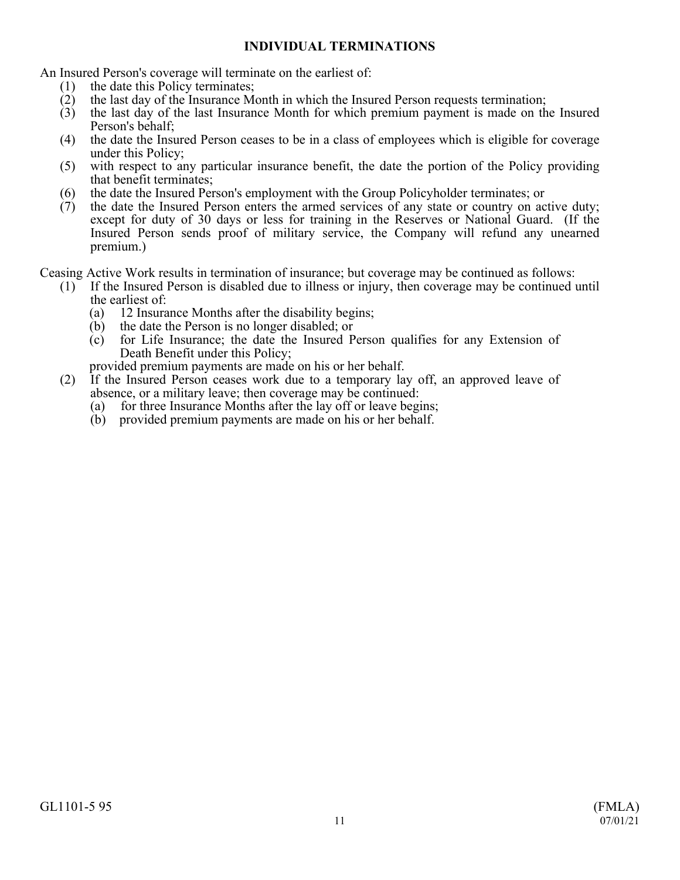# **INDIVIDUAL TERMINATIONS**

<span id="page-10-0"></span>An Insured Person's coverage will terminate on the earliest of:

- (1) the date this Policy terminates;
- (2) the last day of the Insurance Month in which the Insured Person requests termination;
- (3) the last day of the last Insurance Month for which premium payment is made on the Insured Person's behalf;
- (4) the date the Insured Person ceases to be in a class of employees which is eligible for coverage under this Policy;
- (5) with respect to any particular insurance benefit, the date the portion of the Policy providing that benefit terminates;
- (6) the date the Insured Person's employment with the Group Policyholder terminates; or
- (7) the date the Insured Person enters the armed services of any state or country on active duty; except for duty of 30 days or less for training in the Reserves or National Guard. (If the Insured Person sends proof of military service, the Company will refund any unearned premium.)

Ceasing Active Work results in termination of insurance; but coverage may be continued as follows:

- (1) If the Insured Person is disabled due to illness or injury, then coverage may be continued until the earliest of:
	- (a) 12 Insurance Months after the disability begins;
	- (b) the date the Person is no longer disabled; or
	- (c) for Life Insurance; the date the Insured Person qualifies for any Extension of Death Benefit under this Policy;

provided premium payments are made on his or her behalf.

- (2) If the Insured Person ceases work due to a temporary lay off, an approved leave of absence, or a military leave; then coverage may be continued:
	- (a) for three Insurance Months after the lay off or leave begins;
	- (b) provided premium payments are made on his or her behalf.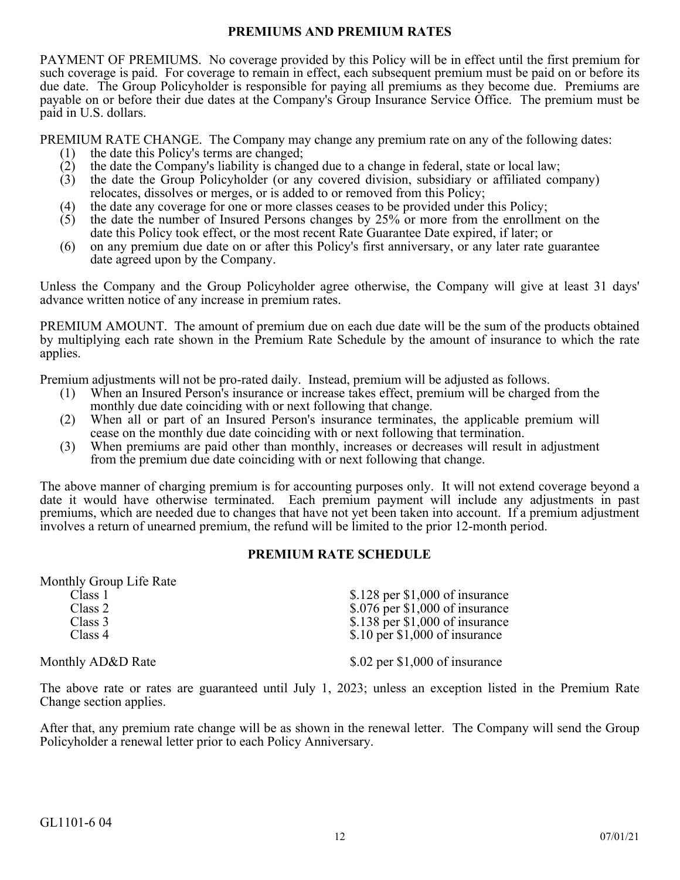## **PREMIUMS AND PREMIUM RATES**

<span id="page-11-0"></span>PAYMENT OF PREMIUMS. No coverage provided by this Policy will be in effect until the first premium for such coverage is paid. For coverage to remain in effect, each subsequent premium must be paid on or before its due date. The Group Policyholder is responsible for paying all premiums as they become due. Premiums are payable on or before their due dates at the Company's Group Insurance Service Office. The premium must be paid in U.S. dollars.

PREMIUM RATE CHANGE. The Company may change any premium rate on any of the following dates:

- (1) the date this Policy's terms are changed;
- (2) the date the Company's liability is changed due to a change in federal, state or local law;<br>(3) the date the Group Policyholder (or any covered division, subsidiary or affiliated con
- (3) the date the Group Policyholder (or any covered division, subsidiary or affiliated company) relocates, dissolves or merges, or is added to or removed from this Policy;
- (4) the date any coverage for one or more classes ceases to be provided under this Policy;
- (5) the date the number of Insured Persons changes by 25% or more from the enrollment on the date this Policy took effect, or the most recent Rate Guarantee Date expired, if later; or
- (6) on any premium due date on or after this Policy's first anniversary, or any later rate guarantee date agreed upon by the Company.

Unless the Company and the Group Policyholder agree otherwise, the Company will give at least 31 days' advance written notice of any increase in premium rates.

PREMIUM AMOUNT. The amount of premium due on each due date will be the sum of the products obtained by multiplying each rate shown in the Premium Rate Schedule by the amount of insurance to which the rate applies.

Premium adjustments will not be pro-rated daily. Instead, premium will be adjusted as follows.

- (1) When an Insured Person's insurance or increase takes effect, premium will be charged from the monthly due date coinciding with or next following that change.
- (2) When all or part of an Insured Person's insurance terminates, the applicable premium will cease on the monthly due date coinciding with or next following that termination.
- (3) When premiums are paid other than monthly, increases or decreases will result in adjustment from the premium due date coinciding with or next following that change.

The above manner of charging premium is for accounting purposes only. It will not extend coverage beyond a date it would have otherwise terminated. Each premium payment will include any adjustments in past premiums, which are needed due to changes that have not yet been taken into account. If a premium adjustment involves a return of unearned premium, the refund will be limited to the prior 12-month period.

## **PREMIUM RATE SCHEDULE**

Monthly Group Life Rate

| Class 1  | $$.128$ per \$1,000 of insurance                                                                                                                                                                                                                                                                                                                                                 |
|----------|----------------------------------------------------------------------------------------------------------------------------------------------------------------------------------------------------------------------------------------------------------------------------------------------------------------------------------------------------------------------------------|
| Class 2  | $$.076$ per \$1,000 of insurance                                                                                                                                                                                                                                                                                                                                                 |
| Class 3  | $$.138$ per \$1,000 of insurance                                                                                                                                                                                                                                                                                                                                                 |
| Class 4  | $$.10$ per \$1,000 of insurance                                                                                                                                                                                                                                                                                                                                                  |
|          |                                                                                                                                                                                                                                                                                                                                                                                  |
| $\cdots$ | $\mathcal{L}$ $\mathcal{L}$ $\mathcal{L}$ $\mathcal{L}$ $\mathcal{L}$ $\mathcal{L}$ $\mathcal{L}$ $\mathcal{L}$ $\mathcal{L}$ $\mathcal{L}$ $\mathcal{L}$ $\mathcal{L}$ $\mathcal{L}$ $\mathcal{L}$ $\mathcal{L}$ $\mathcal{L}$ $\mathcal{L}$ $\mathcal{L}$ $\mathcal{L}$ $\mathcal{L}$ $\mathcal{L}$ $\mathcal{L}$ $\mathcal{L}$ $\mathcal{L}$ $\mathcal{$<br>$\wedge$ $\wedge$ |

Monthly AD&D Rate \$.02 per \$1,000 of insurance

The above rate or rates are guaranteed until July 1, 2023; unless an exception listed in the Premium Rate Change section applies.

After that, any premium rate change will be as shown in the renewal letter. The Company will send the Group Policyholder a renewal letter prior to each Policy Anniversary.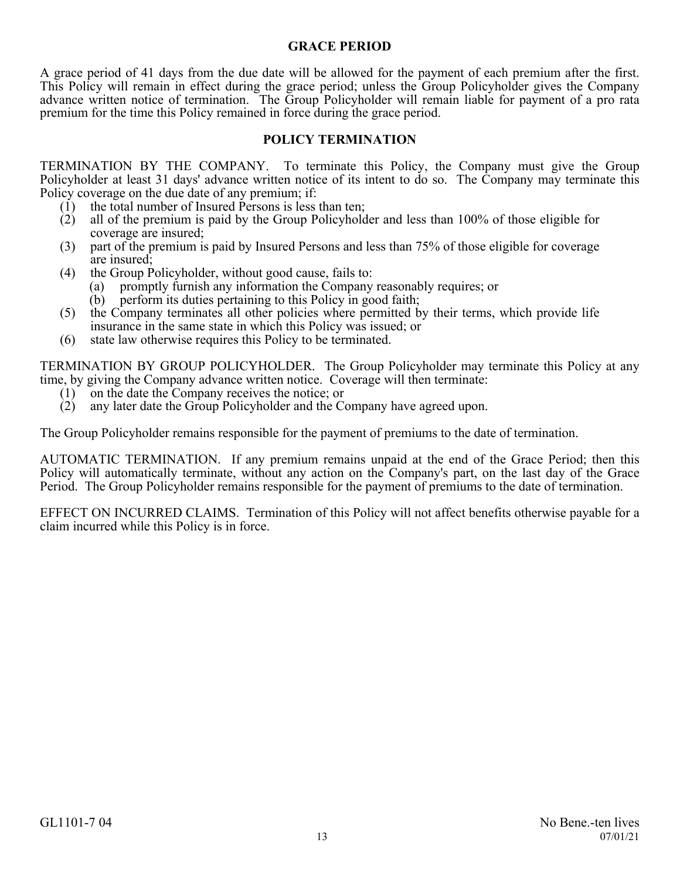# **GRACE PERIOD**

<span id="page-12-0"></span>A grace period of 41 days from the due date will be allowed for the payment of each premium after the first. This Policy will remain in effect during the grace period; unless the Group Policyholder gives the Company advance written notice of termination. The Group Policyholder will remain liable for payment of a pro rata premium for the time this Policy remained in force during the grace period.

# **POLICY TERMINATION**

<span id="page-12-1"></span>TERMINATION BY THE COMPANY. To terminate this Policy, the Company must give the Group Policyholder at least 31 days' advance written notice of its intent to do so. The Company may terminate this Policy coverage on the due date of any premium; if:

- (1) the total number of Insured Persons is less than ten;
- (2) all of the premium is paid by the Group Policyholder and less than 100% of those eligible for coverage are insured;
- (3) part of the premium is paid by Insured Persons and less than 75% of those eligible for coverage are insured;
- (4) the Group Policyholder, without good cause, fails to:
	- (a) promptly furnish any information the Company reasonably requires; or
	- (b) perform its duties pertaining to this Policy in good faith;
- (5) the Company terminates all other policies where permitted by their terms, which provide life insurance in the same state in which this Policy was issued; or
- (6) state law otherwise requires this Policy to be terminated.

TERMINATION BY GROUP POLICYHOLDER. The Group Policyholder may terminate this Policy at any time, by giving the Company advance written notice. Coverage will then terminate:

- (1) on the date the Company receives the notice; or
- (2) any later date the Group Policyholder and the Company have agreed upon.

The Group Policyholder remains responsible for the payment of premiums to the date of termination.

AUTOMATIC TERMINATION. If any premium remains unpaid at the end of the Grace Period; then this Policy will automatically terminate, without any action on the Company's part, on the last day of the Grace Period. The Group Policyholder remains responsible for the payment of premiums to the date of termination.

EFFECT ON INCURRED CLAIMS. Termination of this Policy will not affect benefits otherwise payable for a claim incurred while this Policy is in force.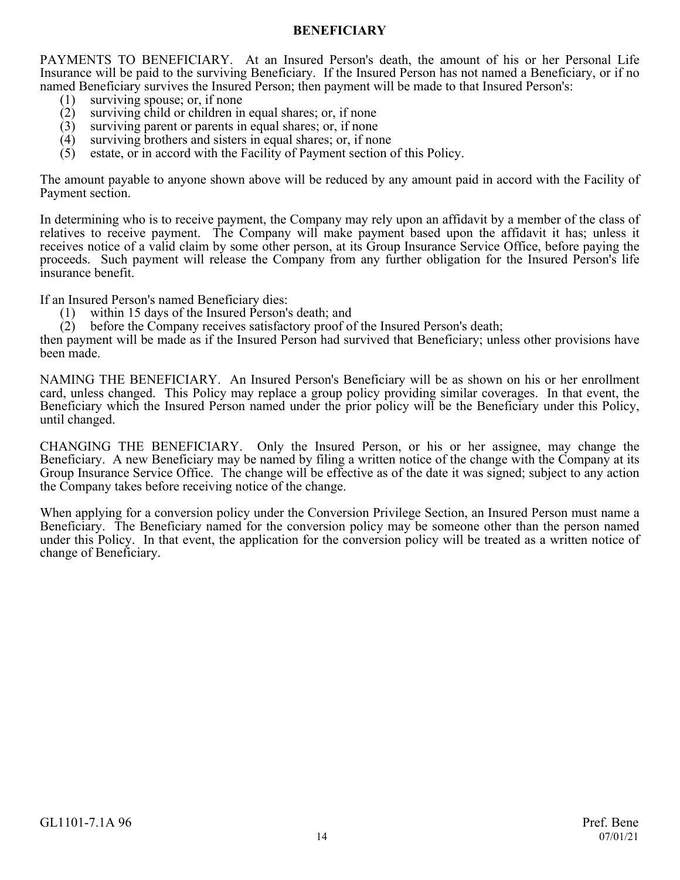## **BENEFICIARY**

<span id="page-13-0"></span>PAYMENTS TO BENEFICIARY. At an Insured Person's death, the amount of his or her Personal Life Insurance will be paid to the surviving Beneficiary. If the Insured Person has not named a Beneficiary, or if no named Beneficiary survives the Insured Person; then payment will be made to that Insured Person's:

- (1) surviving spouse; or, if none<br>(2) surviving child or children in
- surviving child or children in equal shares; or, if none
- (3) surviving parent or parents in equal shares; or, if none  $(4)$  surviving brothers and sisters in equal shares; or, if no
- (4) surviving brothers and sisters in equal shares; or, if none  $(5)$  estate, or in accord with the Facility of Payment section of
- estate, or in accord with the Facility of Payment section of this Policy.

The amount payable to anyone shown above will be reduced by any amount paid in accord with the Facility of Payment section.

In determining who is to receive payment, the Company may rely upon an affidavit by a member of the class of relatives to receive payment. The Company will make payment based upon the affidavit it has; unless it receives notice of a valid claim by some other person, at its Group Insurance Service Office, before paying the proceeds. Such payment will release the Company from any further obligation for the Insured Person's life insurance benefit.

If an Insured Person's named Beneficiary dies:<br>(1) within 15 days of the Insured Person's

- within 15 days of the Insured Person's death; and
- (2) before the Company receives satisfactory proof of the Insured Person's death;

then payment will be made as if the Insured Person had survived that Beneficiary; unless other provisions have been made.

NAMING THE BENEFICIARY. An Insured Person's Beneficiary will be as shown on his or her enrollment card, unless changed. This Policy may replace a group policy providing similar coverages. In that event, the Beneficiary which the Insured Person named under the prior policy will be the Beneficiary under this Policy, until changed.

CHANGING THE BENEFICIARY. Only the Insured Person, or his or her assignee, may change the Beneficiary. A new Beneficiary may be named by filing a written notice of the change with the Company at its Group Insurance Service Office. The change will be effective as of the date it was signed; subject to any action the Company takes before receiving notice of the change.

When applying for a conversion policy under the Conversion Privilege Section, an Insured Person must name a Beneficiary. The Beneficiary named for the conversion policy may be someone other than the person named under this Policy. In that event, the application for the conversion policy will be treated as a written notice of change of Beneficiary.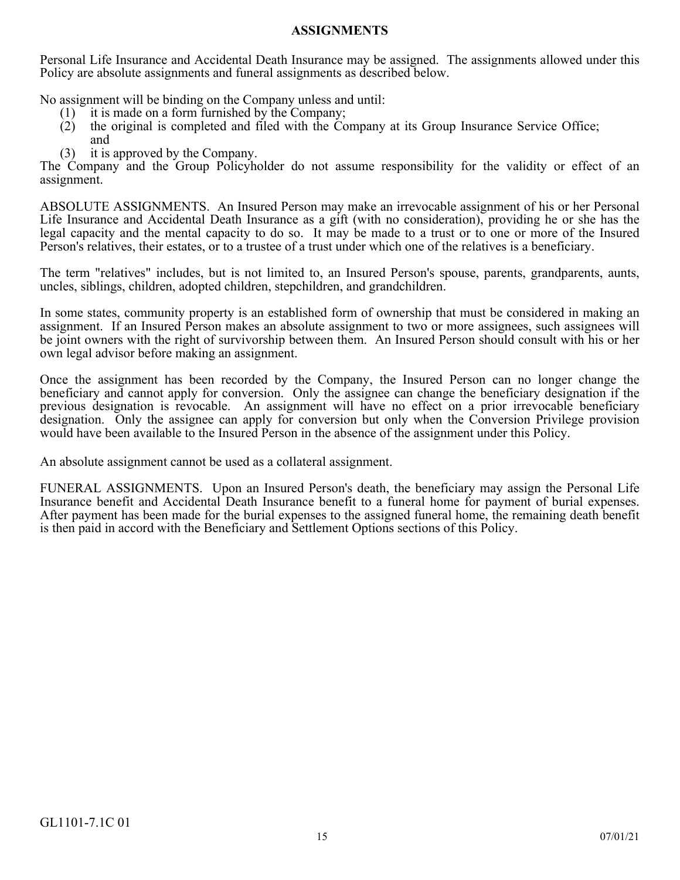### **ASSIGNMENTS**

<span id="page-14-0"></span>Personal Life Insurance and Accidental Death Insurance may be assigned. The assignments allowed under this Policy are absolute assignments and funeral assignments as described below.

No assignment will be binding on the Company unless and until:

- (1) it is made on a form furnished by the Company;
- (2) the original is completed and filed with the Company at its Group Insurance Service Office; and
- (3) it is approved by the Company.

The Company and the Group Policyholder do not assume responsibility for the validity or effect of an assignment.

ABSOLUTE ASSIGNMENTS. An Insured Person may make an irrevocable assignment of his or her Personal Life Insurance and Accidental Death Insurance as a gift (with no consideration), providing he or she has the legal capacity and the mental capacity to do so. It may be made to a trust or to one or more of the Insured Person's relatives, their estates, or to a trustee of a trust under which one of the relatives is a beneficiary.

The term "relatives" includes, but is not limited to, an Insured Person's spouse, parents, grandparents, aunts, uncles, siblings, children, adopted children, stepchildren, and grandchildren.

In some states, community property is an established form of ownership that must be considered in making an assignment. If an Insured Person makes an absolute assignment to two or more assignees, such assignees will be joint owners with the right of survivorship between them. An Insured Person should consult with his or her own legal advisor before making an assignment.

Once the assignment has been recorded by the Company, the Insured Person can no longer change the beneficiary and cannot apply for conversion. Only the assignee can change the beneficiary designation if the previous designation is revocable. An assignment will have no effect on a prior irrevocable beneficiary designation. Only the assignee can apply for conversion but only when the Conversion Privilege provision would have been available to the Insured Person in the absence of the assignment under this Policy.

An absolute assignment cannot be used as a collateral assignment.

FUNERAL ASSIGNMENTS. Upon an Insured Person's death, the beneficiary may assign the Personal Life Insurance benefit and Accidental Death Insurance benefit to a funeral home for payment of burial expenses. After payment has been made for the burial expenses to the assigned funeral home, the remaining death benefit is then paid in accord with the Beneficiary and Settlement Options sections of this Policy.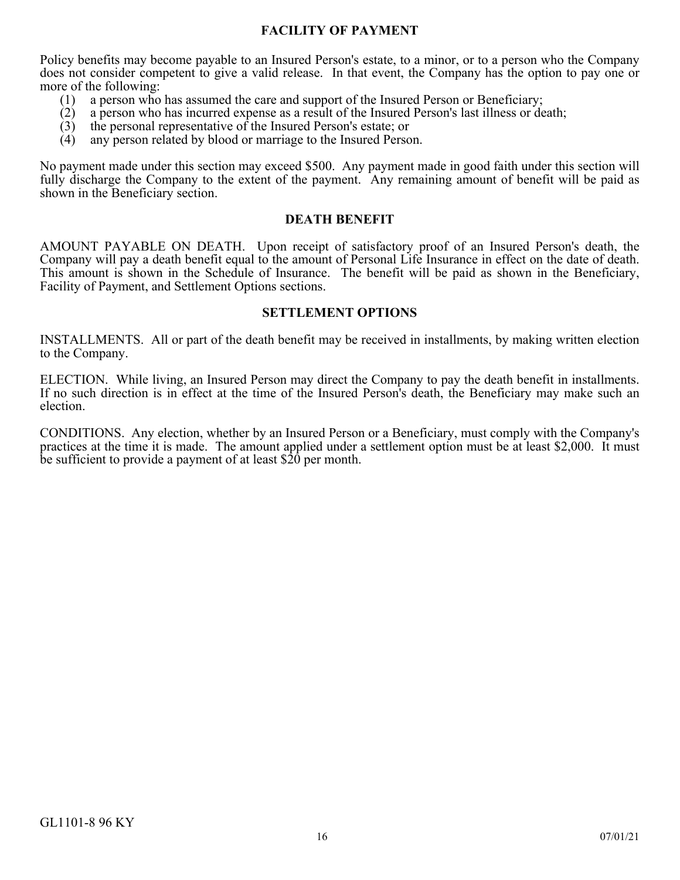# **FACILITY OF PAYMENT**

<span id="page-15-0"></span>Policy benefits may become payable to an Insured Person's estate, to a minor, or to a person who the Company does not consider competent to give a valid release. In that event, the Company has the option to pay one or more of the following:

- (1) a person who has assumed the care and support of the Insured Person or Beneficiary;<br>(2) a person who has incurred expense as a result of the Insured Person's last illness or de
- (2) a person who has incurred expense as a result of the Insured Person's last illness or death;
- (3) the personal representative of the Insured Person's estate; or (4) any person related by blood or marriage to the Insured Perso
- any person related by blood or marriage to the Insured Person.

No payment made under this section may exceed \$500. Any payment made in good faith under this section will fully discharge the Company to the extent of the payment. Any remaining amount of benefit will be paid as shown in the Beneficiary section.

## **DEATH BENEFIT**

<span id="page-15-1"></span>AMOUNT PAYABLE ON DEATH. Upon receipt of satisfactory proof of an Insured Person's death, the Company will pay a death benefit equal to the amount of Personal Life Insurance in effect on the date of death. This amount is shown in the Schedule of Insurance. The benefit will be paid as shown in the Beneficiary, Facility of Payment, and Settlement Options sections.

#### **SETTLEMENT OPTIONS**

<span id="page-15-2"></span>INSTALLMENTS. All or part of the death benefit may be received in installments, by making written election to the Company.

ELECTION. While living, an Insured Person may direct the Company to pay the death benefit in installments. If no such direction is in effect at the time of the Insured Person's death, the Beneficiary may make such an election.

CONDITIONS. Any election, whether by an Insured Person or a Beneficiary, must comply with the Company's practices at the time it is made. The amount applied under a settlement option must be at least \$2,000. It must be sufficient to provide a payment of at least \$20 per month.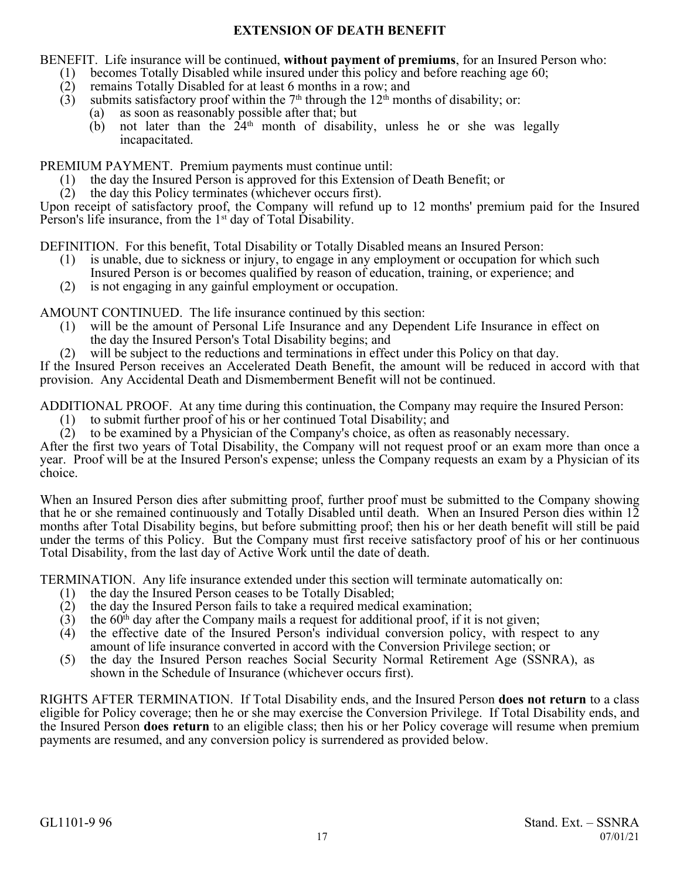# **EXTENSION OF DEATH BENEFIT**

<span id="page-16-0"></span>BENEFIT. Life insurance will be continued, **without payment of premiums**, for an Insured Person who:

- (1) becomes Totally Disabled while insured under this policy and before reaching age 60;<br>(2) remains Totally Disabled for at least 6 months in a row; and
- remains Totally Disabled for at least 6 months in a row; and
- $(3)$  submits satisfactory proof within the 7<sup>th</sup> through the 12<sup>th</sup> months of disability; or:
	- (a) as soon as reasonably possible after that; but
	- $(b)$  not later than the  $24<sup>th</sup>$  month of disability, unless he or she was legally incapacitated.

PREMIUM PAYMENT. Premium payments must continue until:

- (1) the day the Insured Person is approved for this Extension of Death Benefit; or
- (2) the day this Policy terminates (whichever occurs first).

Upon receipt of satisfactory proof, the Company will refund up to 12 months' premium paid for the Insured Person's life insurance, from the 1<sup>st</sup> day of Total Disability.

DEFINITION. For this benefit, Total Disability or Totally Disabled means an Insured Person:

- (1) is unable, due to sickness or injury, to engage in any employment or occupation for which such Insured Person is or becomes qualified by reason of education, training, or experience; and
- (2) is not engaging in any gainful employment or occupation.

AMOUNT CONTINUED. The life insurance continued by this section:

- (1) will be the amount of Personal Life Insurance and any Dependent Life Insurance in effect on the day the Insured Person's Total Disability begins; and
- (2) will be subject to the reductions and terminations in effect under this Policy on that day.

If the Insured Person receives an Accelerated Death Benefit, the amount will be reduced in accord with that provision. Any Accidental Death and Dismemberment Benefit will not be continued.

ADDITIONAL PROOF. At any time during this continuation, the Company may require the Insured Person:

- (1) to submit further proof of his or her continued Total Disability; and
- (2) to be examined by a Physician of the Company's choice, as often as reasonably necessary.

After the first two years of Total Disability, the Company will not request proof or an exam more than once a year. Proof will be at the Insured Person's expense; unless the Company requests an exam by a Physician of its choice.

When an Insured Person dies after submitting proof, further proof must be submitted to the Company showing that he or she remained continuously and Totally Disabled until death. When an Insured Person dies within 12 months after Total Disability begins, but before submitting proof; then his or her death benefit will still be paid under the terms of this Policy. But the Company must first receive satisfactory proof of his or her continuous Total Disability, from the last day of Active Work until the date of death.

TERMINATION. Any life insurance extended under this section will terminate automatically on:

- (1) the day the Insured Person ceases to be Totally Disabled;
- $(2)$  the day the Insured Person fails to take a required medical examination;
- (3) the  $60<sup>th</sup>$  day after the Company mails a request for additional proof, if it is not given;
- (4) the effective date of the Insured Person's individual conversion policy, with respect to any amount of life insurance converted in accord with the Conversion Privilege section; or
- (5) the day the Insured Person reaches Social Security Normal Retirement Age (SSNRA), as shown in the Schedule of Insurance (whichever occurs first).

RIGHTS AFTER TERMINATION. If Total Disability ends, and the Insured Person **does not return** to a class eligible for Policy coverage; then he or she may exercise the Conversion Privilege. If Total Disability ends, and the Insured Person **does return** to an eligible class; then his or her Policy coverage will resume when premium payments are resumed, and any conversion policy is surrendered as provided below.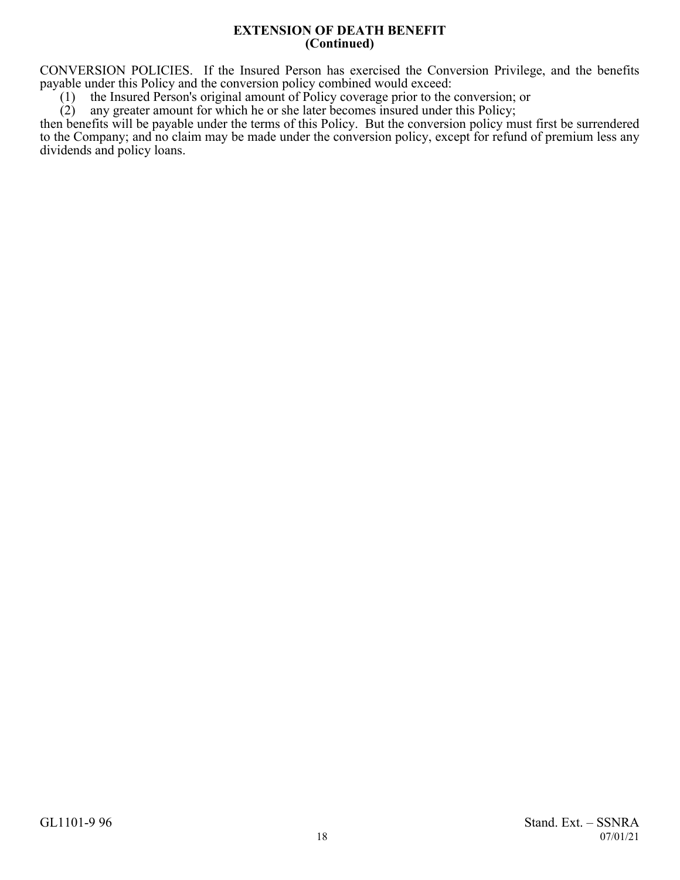#### **EXTENSION OF DEATH BENEFIT (Continued)**

CONVERSION POLICIES. If the Insured Person has exercised the Conversion Privilege, and the benefits payable under this Policy and the conversion policy combined would exceed:

(1) the Insured Person's original amount of Policy coverage prior to the conversion; or (2) any greater amount for which he or she later becomes insured under this Policy;

any greater amount for which he or she later becomes insured under this Policy;

then benefits will be payable under the terms of this Policy. But the conversion policy must first be surrendered to the Company; and no claim may be made under the conversion policy, except for refund of premium less any dividends and policy loans.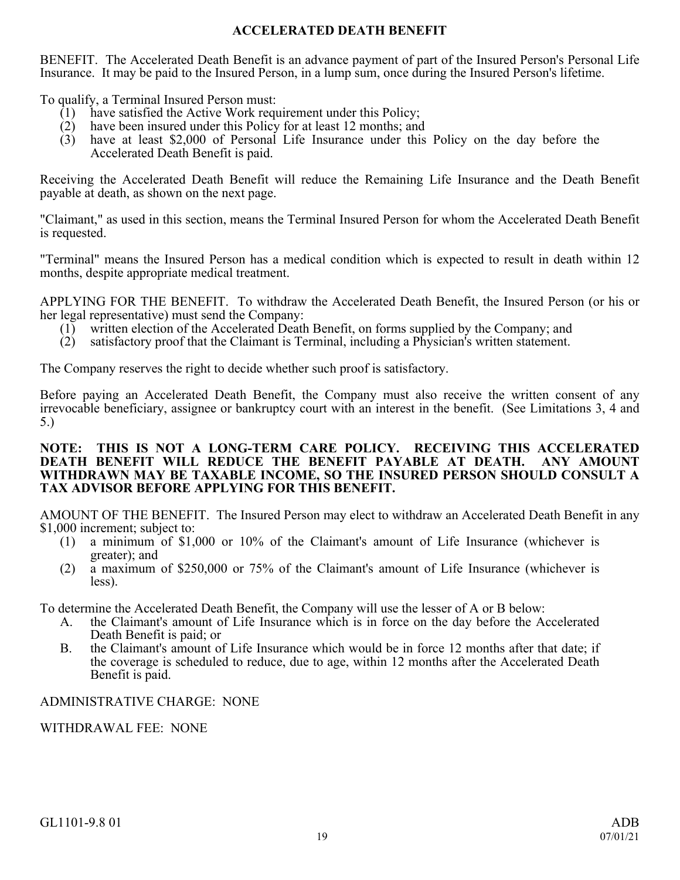# **ACCELERATED DEATH BENEFIT**

<span id="page-18-0"></span>BENEFIT. The Accelerated Death Benefit is an advance payment of part of the Insured Person's Personal Life Insurance. It may be paid to the Insured Person, in a lump sum, once during the Insured Person's lifetime.

To qualify, a Terminal Insured Person must:

- (1) have satisfied the Active Work requirement under this Policy;
- (2) have been insured under this Policy for at least 12 months; and
- (3) have at least \$2,000 of Personal Life Insurance under this Policy on the day before the Accelerated Death Benefit is paid.

Receiving the Accelerated Death Benefit will reduce the Remaining Life Insurance and the Death Benefit payable at death, as shown on the next page.

"Claimant," as used in this section, means the Terminal Insured Person for whom the Accelerated Death Benefit is requested.

"Terminal" means the Insured Person has a medical condition which is expected to result in death within 12 months, despite appropriate medical treatment.

APPLYING FOR THE BENEFIT. To withdraw the Accelerated Death Benefit, the Insured Person (or his or her legal representative) must send the Company:

- (1) written election of the Accelerated Death Benefit, on forms supplied by the Company; and
- (2) satisfactory proof that the Claimant is Terminal, including a Physician's written statement.

The Company reserves the right to decide whether such proof is satisfactory.

Before paying an Accelerated Death Benefit, the Company must also receive the written consent of any irrevocable beneficiary, assignee or bankruptcy court with an interest in the benefit. (See Limitations 3, 4 and 5.)

#### **NOTE: THIS IS NOT A LONG-TERM CARE POLICY. RECEIVING THIS ACCELERATED DEATH BENEFIT WILL REDUCE THE BENEFIT PAYABLE AT DEATH. ANY AMOUNT WITHDRAWN MAY BE TAXABLE INCOME, SO THE INSURED PERSON SHOULD CONSULT A TAX ADVISOR BEFORE APPLYING FOR THIS BENEFIT.**

AMOUNT OF THE BENEFIT. The Insured Person may elect to withdraw an Accelerated Death Benefit in any \$1,000 increment; subject to:

- (1) a minimum of \$1,000 or 10% of the Claimant's amount of Life Insurance (whichever is greater); and
- (2) a maximum of \$250,000 or 75% of the Claimant's amount of Life Insurance (whichever is less).

To determine the Accelerated Death Benefit, the Company will use the lesser of A or B below:

- A. the Claimant's amount of Life Insurance which is in force on the day before the Accelerated Death Benefit is paid; or
- B. the Claimant's amount of Life Insurance which would be in force 12 months after that date; if the coverage is scheduled to reduce, due to age, within 12 months after the Accelerated Death Benefit is paid.

# ADMINISTRATIVE CHARGE: NONE

WITHDRAWAL FEE: NONE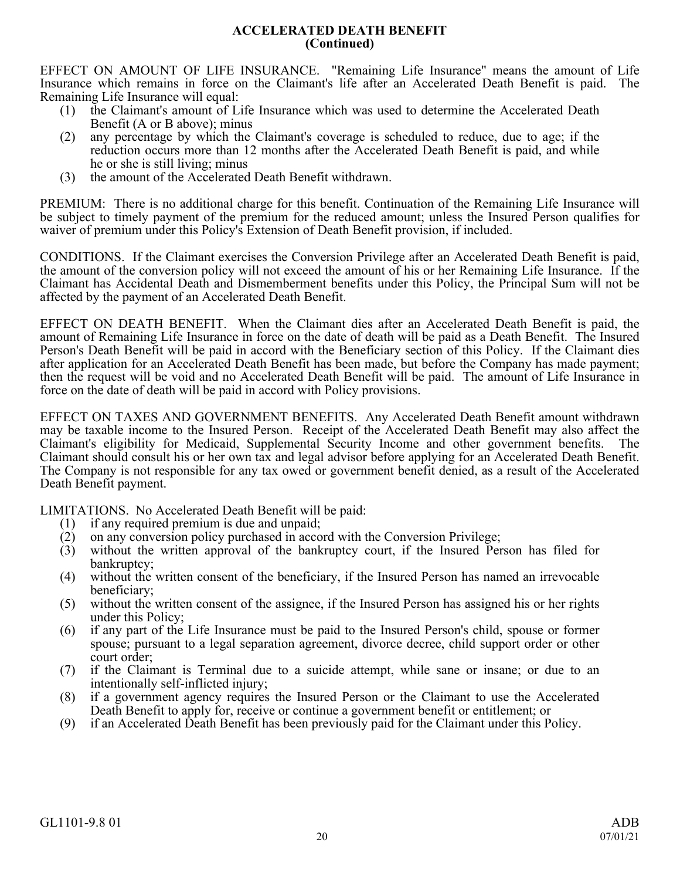### **ACCELERATED DEATH BENEFIT (Continued)**

EFFECT ON AMOUNT OF LIFE INSURANCE. "Remaining Life Insurance" means the amount of Life Insurance which remains in force on the Claimant's life after an Accelerated Death Benefit is paid. The Remaining Life Insurance will equal:

- (1) the Claimant's amount of Life Insurance which was used to determine the Accelerated Death Benefit (A or B above); minus
- (2) any percentage by which the Claimant's coverage is scheduled to reduce, due to age; if the reduction occurs more than 12 months after the Accelerated Death Benefit is paid, and while he or she is still living; minus
- (3) the amount of the Accelerated Death Benefit withdrawn.

PREMIUM: There is no additional charge for this benefit. Continuation of the Remaining Life Insurance will be subject to timely payment of the premium for the reduced amount; unless the Insured Person qualifies for waiver of premium under this Policy's Extension of Death Benefit provision, if included.

CONDITIONS. If the Claimant exercises the Conversion Privilege after an Accelerated Death Benefit is paid, the amount of the conversion policy will not exceed the amount of his or her Remaining Life Insurance. If the Claimant has Accidental Death and Dismemberment benefits under this Policy, the Principal Sum will not be affected by the payment of an Accelerated Death Benefit.

EFFECT ON DEATH BENEFIT. When the Claimant dies after an Accelerated Death Benefit is paid, the amount of Remaining Life Insurance in force on the date of death will be paid as a Death Benefit. The Insured Person's Death Benefit will be paid in accord with the Beneficiary section of this Policy. If the Claimant dies after application for an Accelerated Death Benefit has been made, but before the Company has made payment; then the request will be void and no Accelerated Death Benefit will be paid. The amount of Life Insurance in force on the date of death will be paid in accord with Policy provisions.

EFFECT ON TAXES AND GOVERNMENT BENEFITS. Any Accelerated Death Benefit amount withdrawn may be taxable income to the Insured Person. Receipt of the Accelerated Death Benefit may also affect the Claimant's eligibility for Medicaid, Supplemental Security Income and other government benefits. The Claimant should consult his or her own tax and legal advisor before applying for an Accelerated Death Benefit. The Company is not responsible for any tax owed or government benefit denied, as a result of the Accelerated Death Benefit payment.

LIMITATIONS. No Accelerated Death Benefit will be paid:

- (1) if any required premium is due and unpaid;<br>(2) on any conversion policy purchased in acco
- (2) on any conversion policy purchased in accord with the Conversion Privilege;<br>(3) without the written approval of the bankruptcy court, if the Insured Per
- without the written approval of the bankruptcy court, if the Insured Person has filed for bankruptcy;
- (4) without the written consent of the beneficiary, if the Insured Person has named an irrevocable beneficiary;
- (5) without the written consent of the assignee, if the Insured Person has assigned his or her rights under this Policy;
- (6) if any part of the Life Insurance must be paid to the Insured Person's child, spouse or former spouse; pursuant to a legal separation agreement, divorce decree, child support order or other court order;
- (7) if the Claimant is Terminal due to a suicide attempt, while sane or insane; or due to an intentionally self-inflicted injury;
- (8) if a government agency requires the Insured Person or the Claimant to use the Accelerated Death Benefit to apply for, receive or continue a government benefit or entitlement; or
- (9) if an Accelerated Death Benefit has been previously paid for the Claimant under this Policy.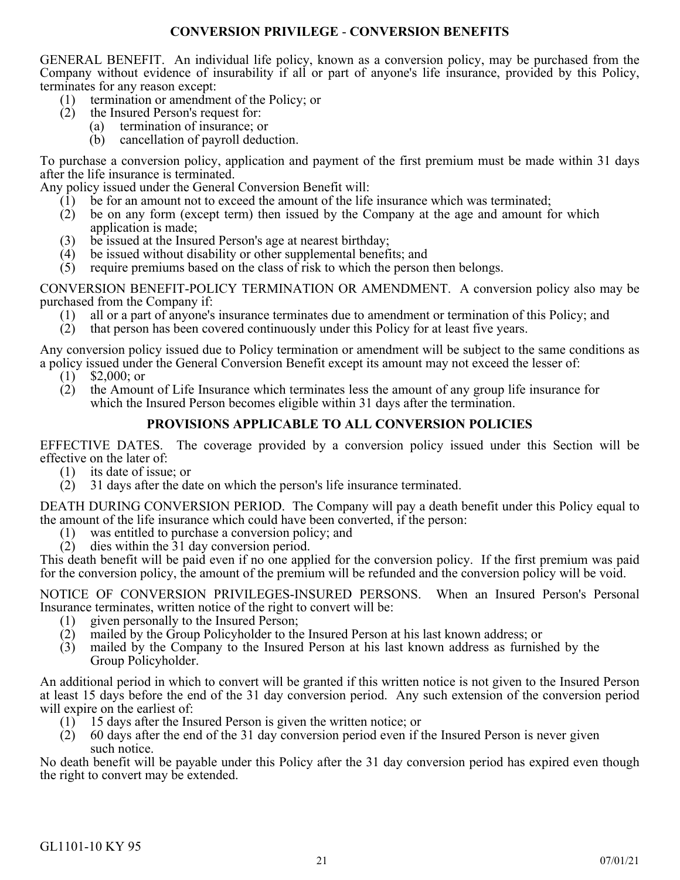# **CONVERSION PRIVILEGE** - **CONVERSION BENEFITS**

<span id="page-20-0"></span>GENERAL BENEFIT. An individual life policy, known as a conversion policy, may be purchased from the Company without evidence of insurability if all or part of anyone's life insurance, provided by this Policy, terminates for any reason except:

- (1) termination or amendment of the Policy; or
- (2) the Insured Person's request for:
	- (a) termination of insurance; or
	- (b) cancellation of payroll deduction.

To purchase a conversion policy, application and payment of the first premium must be made within 31 days after the life insurance is terminated.

Any policy issued under the General Conversion Benefit will:

- (1) be for an amount not to exceed the amount of the life insurance which was terminated;
- (2) be on any form (except term) then issued by the Company at the age and amount for which application is made;
- (3) be issued at the Insured Person's age at nearest birthday;
- (4) be issued without disability or other supplemental benefits; and
- (5) require premiums based on the class of risk to which the person then belongs.

CONVERSION BENEFIT-POLICY TERMINATION OR AMENDMENT. A conversion policy also may be purchased from the Company if:

- (1) all or a part of anyone's insurance terminates due to amendment or termination of this Policy; and (2) that person has been covered continuously under this Policy for at least five years.
- that person has been covered continuously under this Policy for at least five years.

Any conversion policy issued due to Policy termination or amendment will be subject to the same conditions as a policy issued under the General Conversion Benefit except its amount may not exceed the lesser of:

- $(1)$  \$2,000; or
- (2) the Amount of Life Insurance which terminates less the amount of any group life insurance for which the Insured Person becomes eligible within 31 days after the termination.

# **PROVISIONS APPLICABLE TO ALL CONVERSION POLICIES**

EFFECTIVE DATES. The coverage provided by a conversion policy issued under this Section will be effective on the later of:

- (1) its date of issue; or
- $(2)$  31 days after the date on which the person's life insurance terminated.

DEATH DURING CONVERSION PERIOD. The Company will pay a death benefit under this Policy equal to the amount of the life insurance which could have been converted, if the person:

- (1) was entitled to purchase a conversion policy; and
- (2) dies within the 31 day conversion period.

This death benefit will be paid even if no one applied for the conversion policy. If the first premium was paid for the conversion policy, the amount of the premium will be refunded and the conversion policy will be void.

NOTICE OF CONVERSION PRIVILEGES-INSURED PERSONS. When an Insured Person's Personal Insurance terminates, written notice of the right to convert will be:

- (1) given personally to the Insured Person;
- (2) mailed by the Group Policyholder to the Insured Person at his last known address; or
- (3) mailed by the Company to the Insured Person at his last known address as furnished by the Group Policyholder.

An additional period in which to convert will be granted if this written notice is not given to the Insured Person at least 15 days before the end of the 31 day conversion period. Any such extension of the conversion period will expire on the earliest of:

- (1) 15 days after the Insured Person is given the written notice; or
- $(2)$  60 days after the end of the 31 day conversion period even if the Insured Person is never given such notice.

No death benefit will be payable under this Policy after the 31 day conversion period has expired even though the right to convert may be extended.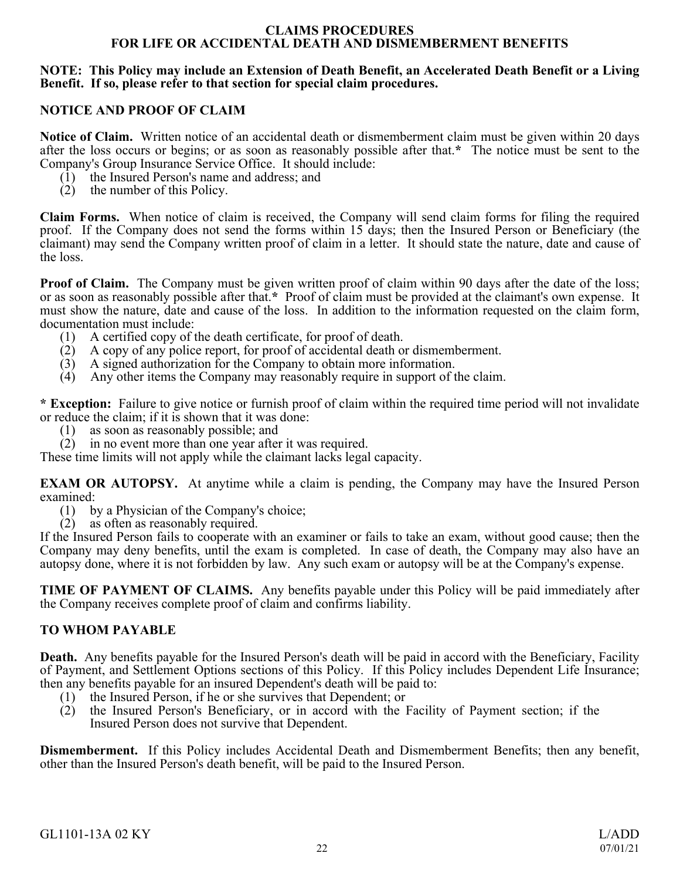#### **CLAIMS PROCEDURES FOR LIFE OR ACCIDENTAL DEATH AND DISMEMBERMENT BENEFITS**

### <span id="page-21-0"></span>**NOTE: This Policy may include an Extension of Death Benefit, an Accelerated Death Benefit or a Living Benefit. If so, please refer to that section for special claim procedures.**

# **NOTICE AND PROOF OF CLAIM**

**Notice of Claim.** Written notice of an accidental death or dismemberment claim must be given within 20 days after the loss occurs or begins; or as soon as reasonably possible after that.**\*** The notice must be sent to the Company's Group Insurance Service Office. It should include:

- (1) the Insured Person's name and address; and
- (2) the number of this Policy.

**Claim Forms.** When notice of claim is received, the Company will send claim forms for filing the required proof. If the Company does not send the forms within 15 days; then the Insured Person or Beneficiary (the claimant) may send the Company written proof of claim in a letter. It should state the nature, date and cause of the loss.

**Proof of Claim.** The Company must be given written proof of claim within 90 days after the date of the loss; or as soon as reasonably possible after that.**\*** Proof of claim must be provided at the claimant's own expense. It must show the nature, date and cause of the loss. In addition to the information requested on the claim form, documentation must include:

- (1) A certified copy of the death certificate, for proof of death.
- (2) A copy of any police report, for proof of accidental death or dismemberment.
- $(3)$  A signed authorization for the Company to obtain more information.
- (4) Any other items the Company may reasonably require in support of the claim.

**\* Exception:** Failure to give notice or furnish proof of claim within the required time period will not invalidate or reduce the claim; if it is shown that it was done:

- (1) as soon as reasonably possible; and
- (2) in no event more than one year after it was required.

These time limits will not apply while the claimant lacks legal capacity.

**EXAM OR AUTOPSY.** At anytime while a claim is pending, the Company may have the Insured Person examined:

- (1) by a Physician of the Company's choice;
- (2) as often as reasonably required.

If the Insured Person fails to cooperate with an examiner or fails to take an exam, without good cause; then the Company may deny benefits, until the exam is completed. In case of death, the Company may also have an autopsy done, where it is not forbidden by law. Any such exam or autopsy will be at the Company's expense.

**TIME OF PAYMENT OF CLAIMS.** Any benefits payable under this Policy will be paid immediately after the Company receives complete proof of claim and confirms liability.

## **TO WHOM PAYABLE**

**Death.** Any benefits payable for the Insured Person's death will be paid in accord with the Beneficiary, Facility of Payment, and Settlement Options sections of this Policy. If this Policy includes Dependent Life Insurance; then any benefits payable for an insured Dependent's death will be paid to:

- (1) the Insured Person, if he or she survives that Dependent; or
- (2) the Insured Person's Beneficiary, or in accord with the Facility of Payment section; if the Insured Person does not survive that Dependent.

**Dismemberment.** If this Policy includes Accidental Death and Dismemberment Benefits; then any benefit, other than the Insured Person's death benefit, will be paid to the Insured Person.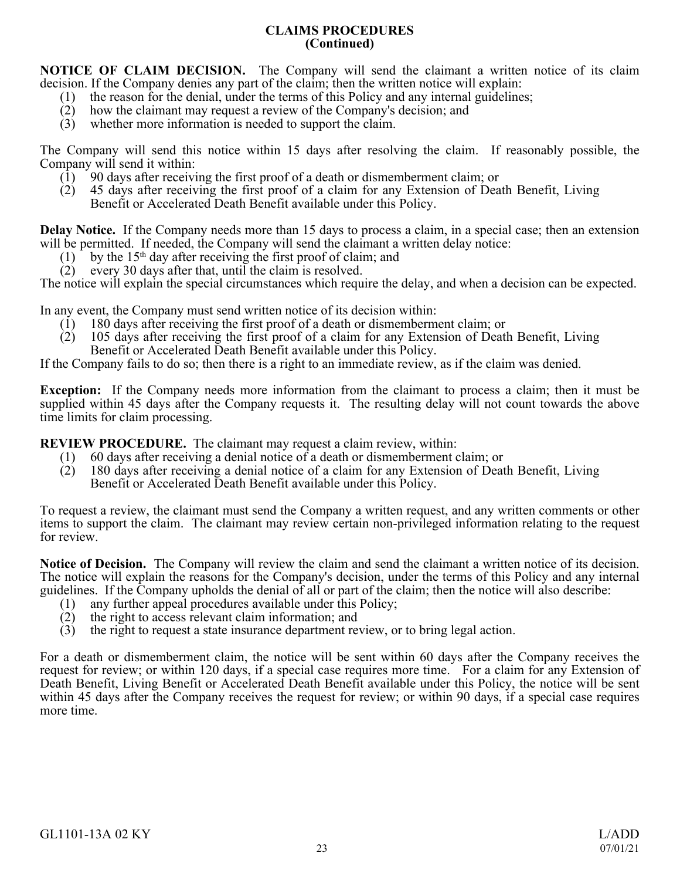# **CLAIMS PROCEDURES (Continued)**

**NOTICE OF CLAIM DECISION.** The Company will send the claimant a written notice of its claim decision. If the Company denies any part of the claim; then the written notice will explain:

- (1) the reason for the denial, under the terms of this Policy and any internal guidelines;<br>(2) how the claimant may request a review of the Company's decision; and
- how the claimant may request a review of the Company's decision; and
- (3) whether more information is needed to support the claim.

The Company will send this notice within 15 days after resolving the claim. If reasonably possible, the Company will send it within:

- (1) 90 days after receiving the first proof of a death or dismemberment claim; or
- (2) 45 days after receiving the first proof of a claim for any Extension of Death Benefit, Living Benefit or Accelerated Death Benefit available under this Policy.

**Delay Notice.** If the Company needs more than 15 days to process a claim, in a special case; then an extension will be permitted. If needed, the Company will send the claimant a written delay notice:

- $(1)$  by the 15<sup>th</sup> day after receiving the first proof of claim; and
- (2) every 30 days after that, until the claim is resolved.

The notice will explain the special circumstances which require the delay, and when a decision can be expected.

In any event, the Company must send written notice of its decision within:

- (1) 180 days after receiving the first proof of a death or dismemberment claim; or
- (2) 105 days after receiving the first proof of a claim for any Extension of Death Benefit, Living Benefit or Accelerated Death Benefit available under this Policy.

If the Company fails to do so; then there is a right to an immediate review, as if the claim was denied.

**Exception:** If the Company needs more information from the claimant to process a claim; then it must be supplied within 45 days after the Company requests it. The resulting delay will not count towards the above time limits for claim processing.

**REVIEW PROCEDURE.** The claimant may request a claim review, within:

- (1) 60 days after receiving a denial notice of a death or dismemberment claim; or
- (2) 180 days after receiving a denial notice of a claim for any Extension of Death Benefit, Living Benefit or Accelerated Death Benefit available under this Policy.

To request a review, the claimant must send the Company a written request, and any written comments or other items to support the claim. The claimant may review certain non-privileged information relating to the request for review.

**Notice of Decision.** The Company will review the claim and send the claimant a written notice of its decision. The notice will explain the reasons for the Company's decision, under the terms of this Policy and any internal guidelines. If the Company upholds the denial of all or part of the claim; then the notice will also describe:

- (1) any further appeal procedures available under this Policy;<br>(2) the right to access relevant claim information; and
- the right to access relevant claim information; and
- (3) the right to request a state insurance department review, or to bring legal action.

For a death or dismemberment claim, the notice will be sent within 60 days after the Company receives the request for review; or within 120 days, if a special case requires more time. For a claim for any Extension of Death Benefit, Living Benefit or Accelerated Death Benefit available under this Policy, the notice will be sent within 45 days after the Company receives the request for review; or within 90 days, if a special case requires more time.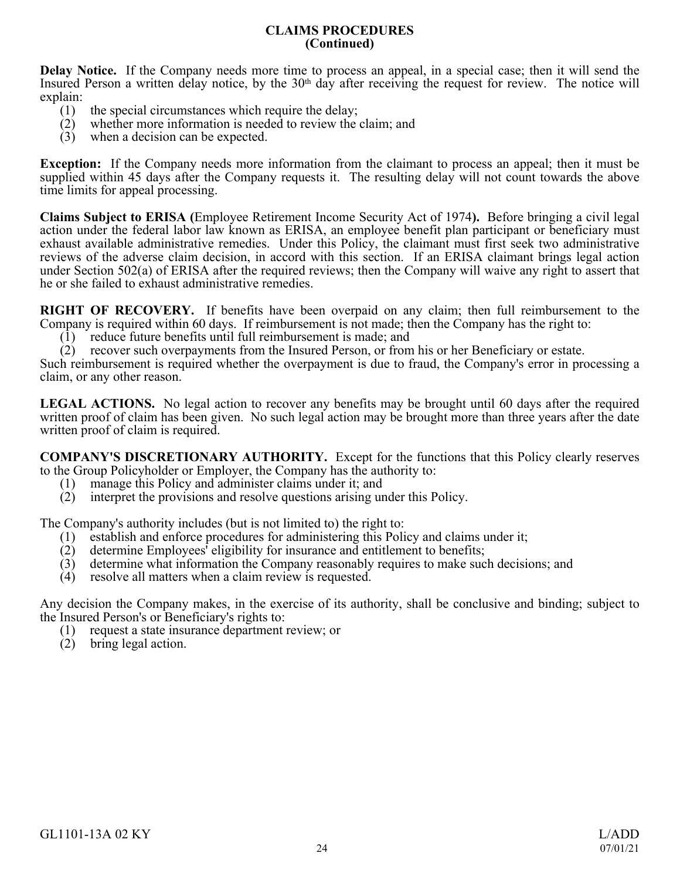### **CLAIMS PROCEDURES (Continued)**

**Delay Notice.** If the Company needs more time to process an appeal, in a special case; then it will send the Insured Person a written delay notice, by the 30<sup>th</sup> day after receiving the request for review. The notice will explain:

- (1) the special circumstances which require the delay;
- (2) whether more information is needed to review the claim; and
- (3) when a decision can be expected.

**Exception:** If the Company needs more information from the claimant to process an appeal; then it must be supplied within 45 days after the Company requests it. The resulting delay will not count towards the above time limits for appeal processing.

**Claims Subject to ERISA (**Employee Retirement Income Security Act of 1974**).** Before bringing a civil legal action under the federal labor law known as ERISA, an employee benefit plan participant or beneficiary must exhaust available administrative remedies. Under this Policy, the claimant must first seek two administrative reviews of the adverse claim decision, in accord with this section. If an ERISA claimant brings legal action under Section 502(a) of ERISA after the required reviews; then the Company will waive any right to assert that he or she failed to exhaust administrative remedies.

**RIGHT OF RECOVERY.** If benefits have been overpaid on any claim; then full reimbursement to the Company is required within 60 days. If reimbursement is not made; then the Company has the right to:

(1) reduce future benefits until full reimbursement is made; and

(2) recover such overpayments from the Insured Person, or from his or her Beneficiary or estate.

Such reimbursement is required whether the overpayment is due to fraud, the Company's error in processing a claim, or any other reason.

**LEGAL ACTIONS.** No legal action to recover any benefits may be brought until 60 days after the required written proof of claim has been given. No such legal action may be brought more than three years after the date written proof of claim is required.

**COMPANY'S DISCRETIONARY AUTHORITY.** Except for the functions that this Policy clearly reserves to the Group Policyholder or Employer, the Company has the authority to:

- (1) manage this Policy and administer claims under it; and (2) interpret the provisions and resolve questions arising un
- interpret the provisions and resolve questions arising under this Policy.

The Company's authority includes (but is not limited to) the right to:

- (1) establish and enforce procedures for administering this Policy and claims under it;<br>(2) determine Employees' eligibility for insurance and entitlement to benefits;
- determine Employees' eligibility for insurance and entitlement to benefits;
- (3) determine what information the Company reasonably requires to make such decisions; and
- (4) resolve all matters when a claim review is requested.

Any decision the Company makes, in the exercise of its authority, shall be conclusive and binding; subject to the Insured Person's or Beneficiary's rights to:

- (1) request a state insurance department review; or
- (2) bring legal action.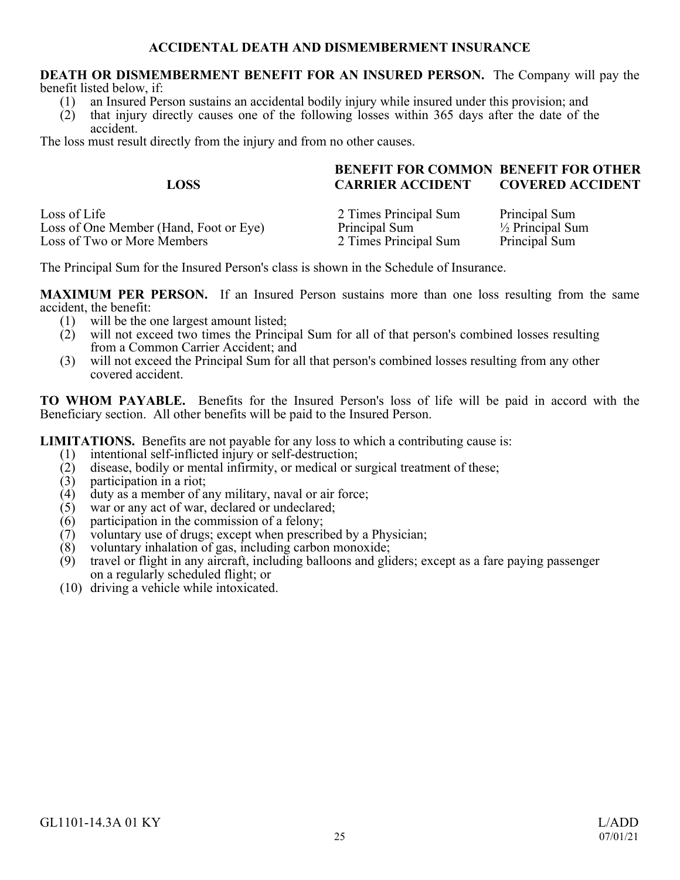# **ACCIDENTAL DEATH AND DISMEMBERMENT INSURANCE**

#### <span id="page-24-0"></span>**DEATH OR DISMEMBERMENT BENEFIT FOR AN INSURED PERSON.** The Company will pay the benefit listed below, if:

- (1) an Insured Person sustains an accidental bodily injury while insured under this provision; and
- (2) that injury directly causes one of the following losses within 365 days after the date of the accident.

The loss must result directly from the injury and from no other causes.

|             | <b>BENEFIT FOR COMMON BENEFIT FOR OTHER</b> |                         |
|-------------|---------------------------------------------|-------------------------|
| <b>LOSS</b> | <b>CARRIER ACCIDENT</b>                     | <b>COVERED ACCIDENT</b> |
|             |                                             |                         |

Loss of Life 2 Times Principal Sum Principal Sum<br>
Loss of One Member (Hand. Foot or Eve) Principal Sum Principal Sum <sup>1/2</sup> Principal Sum Loss of One Member (Hand, Foot or Eye) Principal Sum <sup>1/2</sup> Principal Sum<br>
Loss of Two or More Members 2 Times Principal Sum Principal Sum Loss of Two or More Members

The Principal Sum for the Insured Person's class is shown in the Schedule of Insurance.

**MAXIMUM PER PERSON.** If an Insured Person sustains more than one loss resulting from the same  $\text{accident, the benefit:}$ <br>(1) will be the q

- 
- (1) will be the one largest amount listed;<br>(2) will not exceed two times the Princin will not exceed two times the Principal Sum for all of that person's combined losses resulting from a Common Carrier Accident; and
- (3) will not exceed the Principal Sum for all that person's combined losses resulting from any other covered accident.

**TO WHOM PAYABLE.** Benefits for the Insured Person's loss of life will be paid in accord with the Beneficiary section. All other benefits will be paid to the Insured Person.

**LIMITATIONS.** Benefits are not payable for any loss to which a contributing cause is:<br>(1) intentional self-inflicted injury or self-destruction:

- (1) intentional self-inflicted injury or self-destruction;<br>(2) disease, bodily or mental infirmity, or medical or s
- (2) disease, bodily or mental infirmity, or medical or surgical treatment of these;<br>(3) participation in a riot:
- $(3)$  participation in a riot;<br> $(4)$  duty as a member of a
- (4) duty as a member of any military, naval or air force;<br>(5) war or any act of war, declared or undeclared;
- $(5)$  war or any act of war, declared or undeclared;<br>(6) participation in the commission of a felony:
- $(6)$  participation in the commission of a felony;<br>(7) voluntary use of drugs; except when prescrib
- $(7)$  voluntary use of drugs; except when prescribed by a Physician;  $(8)$  voluntary inhalation of gas, including carbon monoxide:
- $(8)$  voluntary inhalation of gas, including carbon monoxide;<br> $(9)$  travel or flight in any aircraft, including balloons and gli
- travel or flight in any aircraft, including balloons and gliders; except as a fare paying passenger on a regularly scheduled flight; or
- (10) driving a vehicle while intoxicated.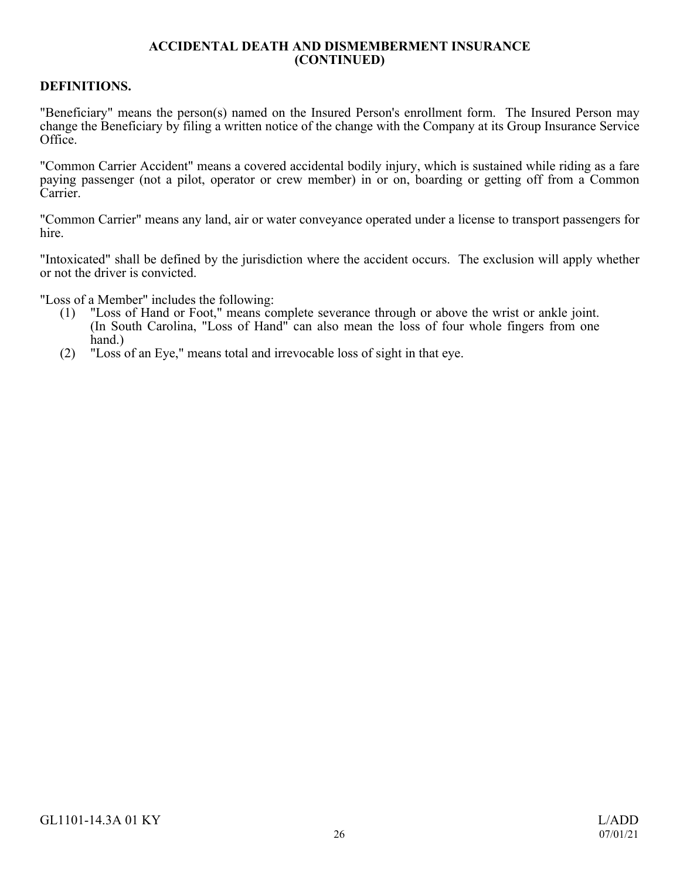## **ACCIDENTAL DEATH AND DISMEMBERMENT INSURANCE (CONTINUED)**

# **DEFINITIONS.**

"Beneficiary" means the person(s) named on the Insured Person's enrollment form. The Insured Person may change the Beneficiary by filing a written notice of the change with the Company at its Group Insurance Service Office.

"Common Carrier Accident" means a covered accidental bodily injury, which is sustained while riding as a fare paying passenger (not a pilot, operator or crew member) in or on, boarding or getting off from a Common Carrier.

"Common Carrier" means any land, air or water conveyance operated under a license to transport passengers for hire.

"Intoxicated" shall be defined by the jurisdiction where the accident occurs. The exclusion will apply whether or not the driver is convicted.

"Loss of a Member" includes the following:

- (1) "Loss of Hand or Foot," means complete severance through or above the wrist or ankle joint. (In South Carolina, "Loss of Hand" can also mean the loss of four whole fingers from one hand.)
- (2) "Loss of an Eye," means total and irrevocable loss of sight in that eye.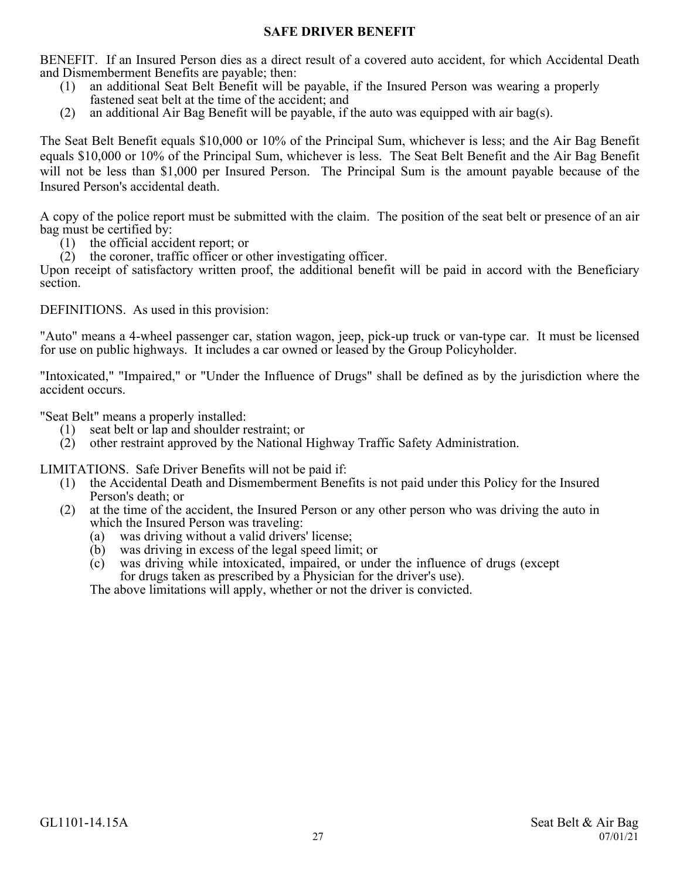# **SAFE DRIVER BENEFIT**

<span id="page-26-0"></span>BENEFIT. If an Insured Person dies as a direct result of a covered auto accident, for which Accidental Death and Dismemberment Benefits are payable; then:

- (1) an additional Seat Belt Benefit will be payable, if the Insured Person was wearing a properly fastened seat belt at the time of the accident; and
- (2) an additional Air Bag Benefit will be payable, if the auto was equipped with air bag(s).

The Seat Belt Benefit equals \$10,000 or 10% of the Principal Sum, whichever is less; and the Air Bag Benefit equals \$10,000 or 10% of the Principal Sum, whichever is less. The Seat Belt Benefit and the Air Bag Benefit will not be less than \$1,000 per Insured Person. The Principal Sum is the amount payable because of the Insured Person's accidental death.

A copy of the police report must be submitted with the claim. The position of the seat belt or presence of an air bag must be certified by:

- (1) the official accident report; or
- $(2)$  the coroner, traffic officer or other investigating officer.

Upon receipt of satisfactory written proof, the additional benefit will be paid in accord with the Beneficiary section.

DEFINITIONS. As used in this provision:

"Auto" means a 4-wheel passenger car, station wagon, jeep, pick-up truck or van-type car. It must be licensed for use on public highways. It includes a car owned or leased by the Group Policyholder.

"Intoxicated," "Impaired," or "Under the Influence of Drugs" shall be defined as by the jurisdiction where the accident occurs.

"Seat Belt" means a properly installed:

- (1) seat belt or lap and shoulder restraint; or
- (2) other restraint approved by the National Highway Traffic Safety Administration.

LIMITATIONS. Safe Driver Benefits will not be paid if:

- (1) the Accidental Death and Dismemberment Benefits is not paid under this Policy for the Insured Person's death; or
- (2) at the time of the accident, the Insured Person or any other person who was driving the auto in which the Insured Person was traveling:
	- (a) was driving without a valid drivers' license;
	- (b) was driving in excess of the legal speed limit; or
	- (c) was driving while intoxicated, impaired, or under the influence of drugs (except for drugs taken as prescribed by a Physician for the driver's use).

The above limitations will apply, whether or not the driver is convicted.